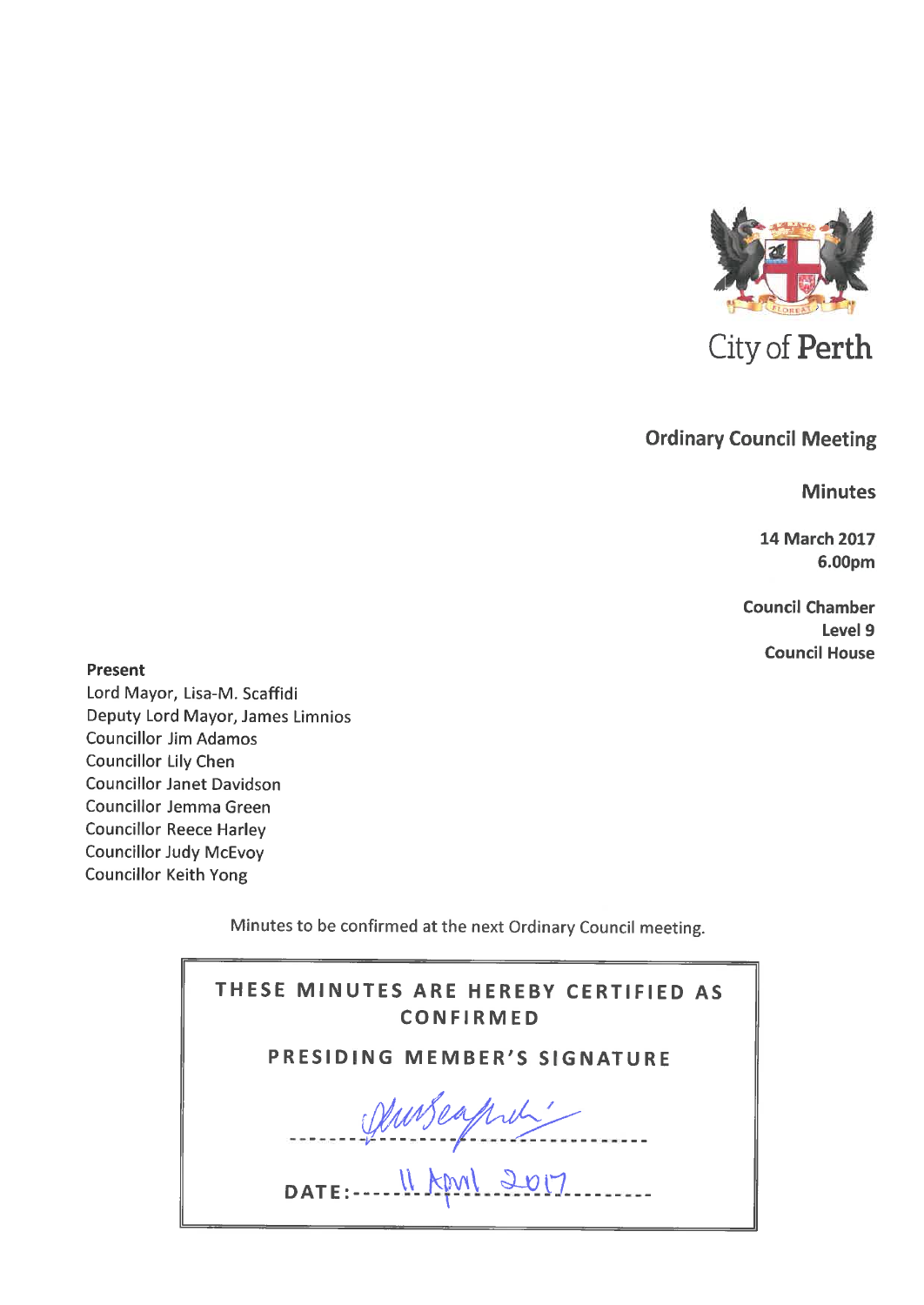

# **Ordinary Council Meeting**

**Minutes** 

**14 March 2017** 6.00pm

**Council Chamber** Level 9 **Council House** 

Present

Lord Mayor, Lisa-M. Scaffidi Deputy Lord Mayor, James Limnios **Councillor Jim Adamos Councillor Lily Chen Councillor Janet Davidson** Councillor Jemma Green **Councillor Reece Harley Councillor Judy McEvoy Councillor Keith Yong** 

Minutes to be confirmed at the next Ordinary Council meeting.

| THESE MINUTES ARE HEREBY CERTIFIED AS<br><b>CONFIRMED</b> |
|-----------------------------------------------------------|
| <b>PRESIDING MEMBER'S SIGNATURE</b>                       |
| Demseaprel'                                               |
| $\texttt{DATE}$ : $N$ April 2017.                         |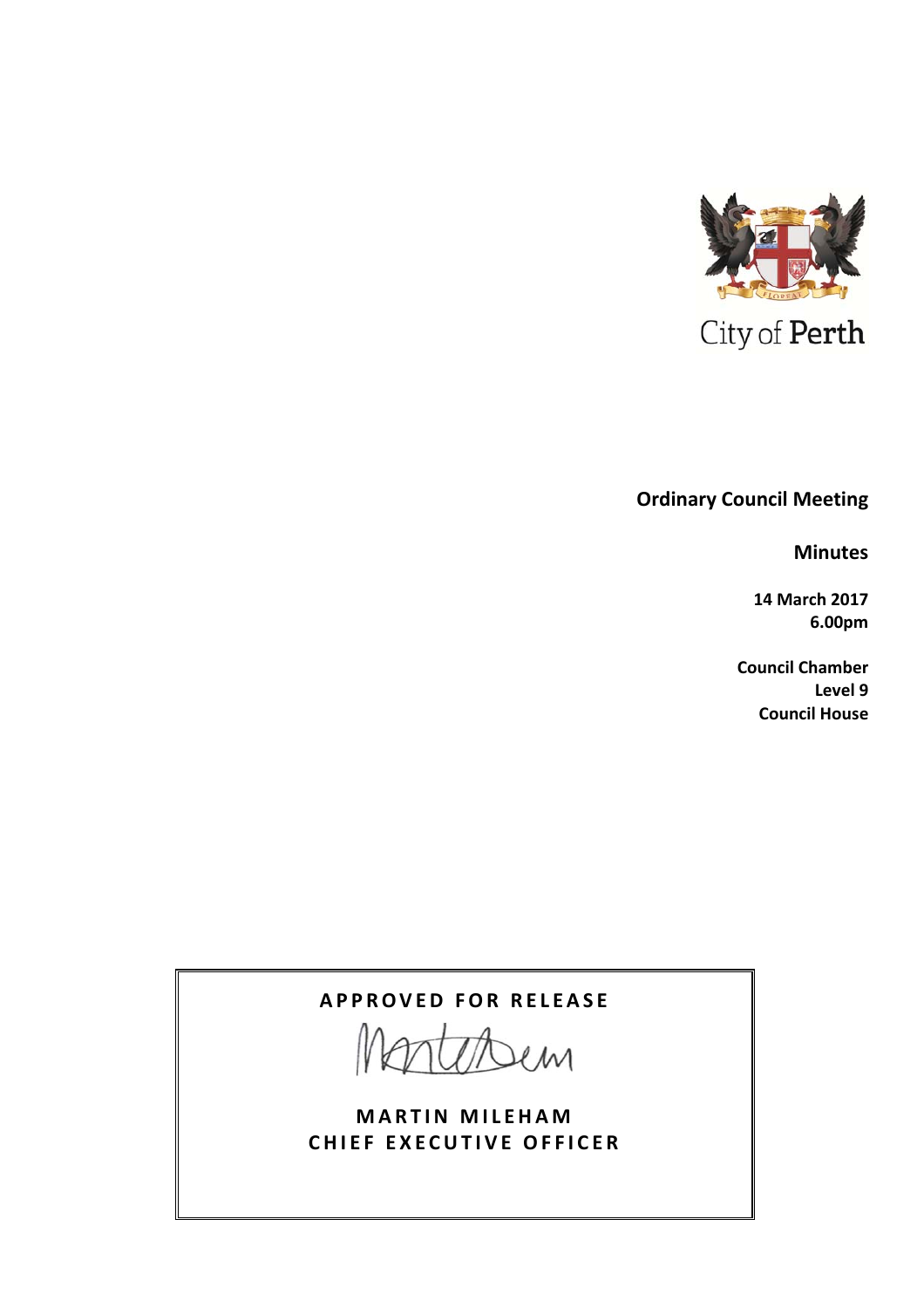

# **Ordinary Council Meeting**

**Minutes**

**14 March 2017 6.00pm**

**Council Chamber Level 9 Council House**

# **APPROVED FOR RELEASE**

 $20M$ 

**MARTIN MILEHAM CHIEF EXECUTIVE OFFICER**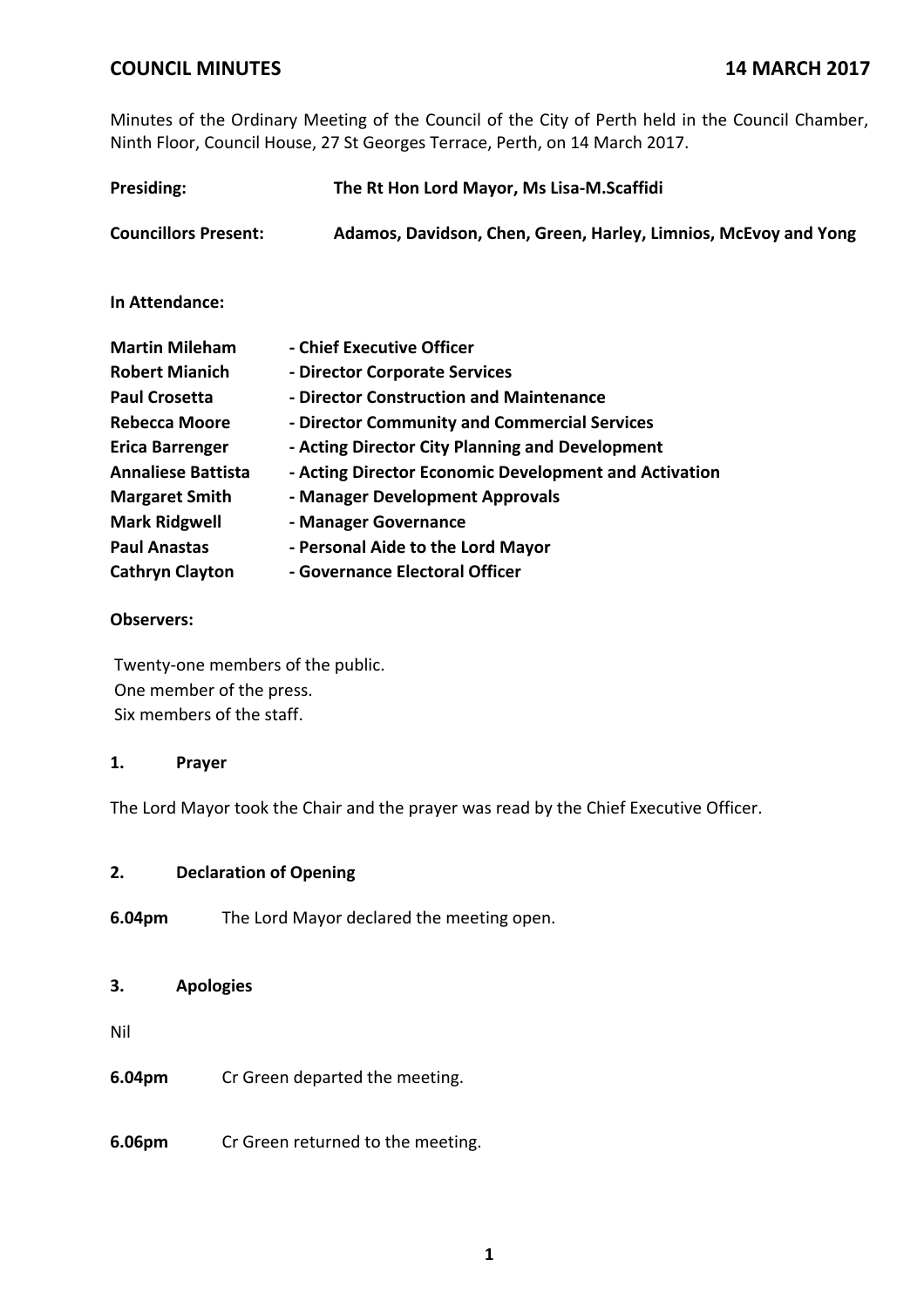Minutes of the Ordinary Meeting of the Council of the City of Perth held in the Council Chamber, Ninth Floor, Council House, 27 St Georges Terrace, Perth, on 14 March 2017.

| Presiding:                  | The Rt Hon Lord Mayor, Ms Lisa-M.Scaffidi                       |  |  |
|-----------------------------|-----------------------------------------------------------------|--|--|
| <b>Councillors Present:</b> | Adamos, Davidson, Chen, Green, Harley, Limnios, McEvoy and Yong |  |  |
| In Attendance:              |                                                                 |  |  |
| <b>Martin Mileham</b>       | - Chief Executive Officer                                       |  |  |
| <b>Robert Mianich</b>       | - Director Corporate Services                                   |  |  |
| <b>Paul Crosetta</b>        | - Director Construction and Maintenance                         |  |  |
| <b>Rebecca Moore</b>        | - Director Community and Commercial Services                    |  |  |
| <b>Erica Barrenger</b>      | - Acting Director City Planning and Development                 |  |  |
| <b>Annaliese Battista</b>   | - Acting Director Economic Development and Activation           |  |  |
| <b>Margaret Smith</b>       | - Manager Development Approvals                                 |  |  |
| <b>Mark Ridgwell</b>        | - Manager Governance                                            |  |  |
| <b>Paul Anastas</b>         | - Personal Aide to the Lord Mayor                               |  |  |
| <b>Cathryn Clayton</b>      | - Governance Electoral Officer                                  |  |  |

### **Observers:**

Twenty‐one members of the public. One member of the press. Six members of the staff.

### **1. Prayer**

The Lord Mayor took the Chair and the prayer was read by the Chief Executive Officer.

### **2. Declaration of Opening**

**6.04pm** The Lord Mayor declared the meeting open.

### **3. Apologies**

Nil

**6.04pm** Cr Green departed the meeting.

**6.06pm** Cr Green returned to the meeting.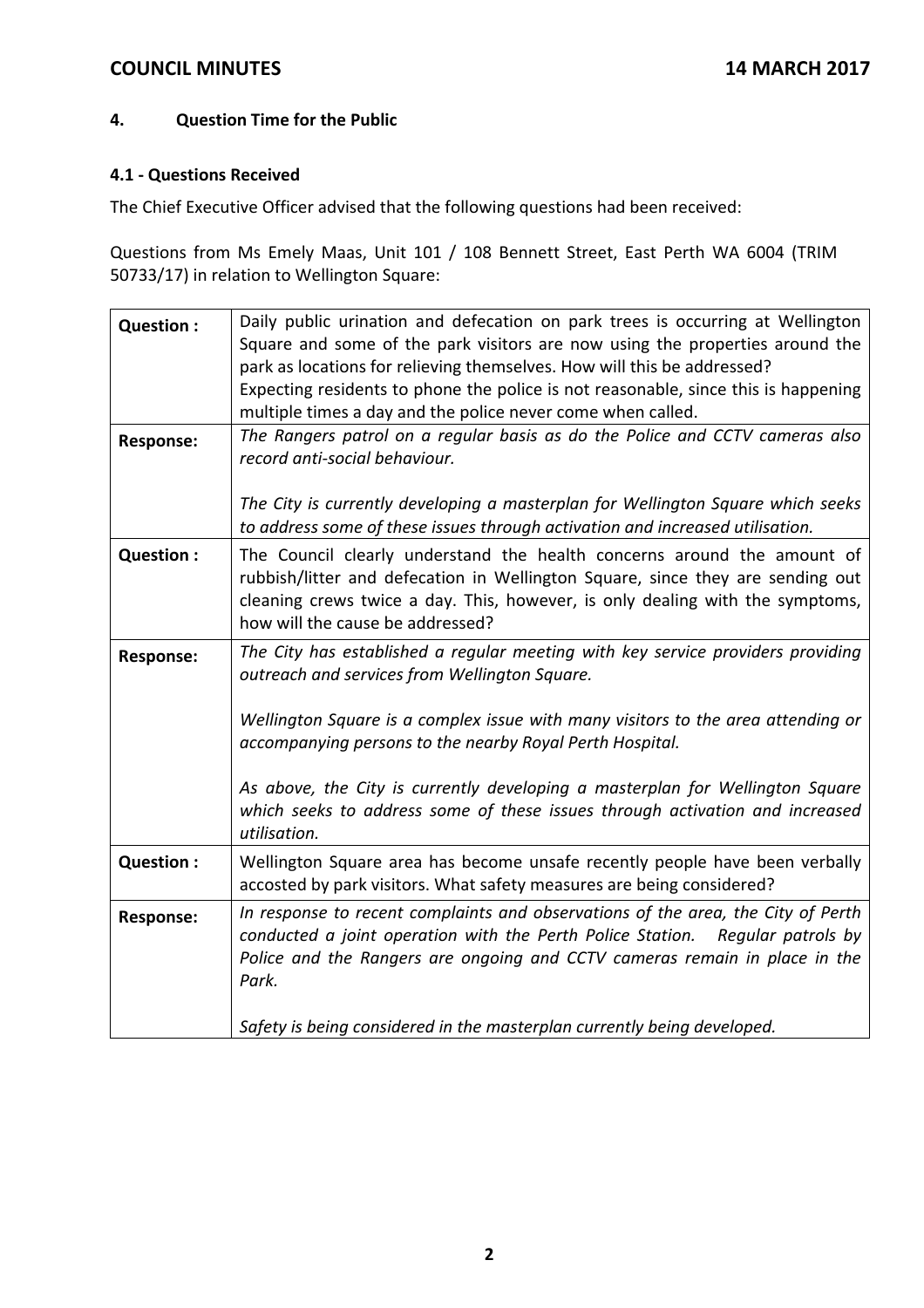## **4. Question Time for the Public**

### **4.1 ‐ Questions Received**

The Chief Executive Officer advised that the following questions had been received:

Questions from Ms Emely Maas, Unit 101 / 108 Bennett Street, East Perth WA 6004 (TRIM 50733/17) in relation to Wellington Square:

| Question:        | Daily public urination and defecation on park trees is occurring at Wellington<br>Square and some of the park visitors are now using the properties around the<br>park as locations for relieving themselves. How will this be addressed?<br>Expecting residents to phone the police is not reasonable, since this is happening<br>multiple times a day and the police never come when called. |
|------------------|------------------------------------------------------------------------------------------------------------------------------------------------------------------------------------------------------------------------------------------------------------------------------------------------------------------------------------------------------------------------------------------------|
| <b>Response:</b> | The Rangers patrol on a regular basis as do the Police and CCTV cameras also<br>record anti-social behaviour.                                                                                                                                                                                                                                                                                  |
|                  | The City is currently developing a masterplan for Wellington Square which seeks<br>to address some of these issues through activation and increased utilisation.                                                                                                                                                                                                                               |
| Question :       | The Council clearly understand the health concerns around the amount of<br>rubbish/litter and defecation in Wellington Square, since they are sending out<br>cleaning crews twice a day. This, however, is only dealing with the symptoms,<br>how will the cause be addressed?                                                                                                                 |
| <b>Response:</b> | The City has established a regular meeting with key service providers providing<br>outreach and services from Wellington Square.                                                                                                                                                                                                                                                               |
|                  | Wellington Square is a complex issue with many visitors to the area attending or<br>accompanying persons to the nearby Royal Perth Hospital.                                                                                                                                                                                                                                                   |
|                  | As above, the City is currently developing a masterplan for Wellington Square<br>which seeks to address some of these issues through activation and increased<br>utilisation.                                                                                                                                                                                                                  |
| Question :       | Wellington Square area has become unsafe recently people have been verbally<br>accosted by park visitors. What safety measures are being considered?                                                                                                                                                                                                                                           |
| <b>Response:</b> | In response to recent complaints and observations of the area, the City of Perth<br>conducted a joint operation with the Perth Police Station.<br>Regular patrols by<br>Police and the Rangers are ongoing and CCTV cameras remain in place in the<br>Park.                                                                                                                                    |
|                  | Safety is being considered in the masterplan currently being developed.                                                                                                                                                                                                                                                                                                                        |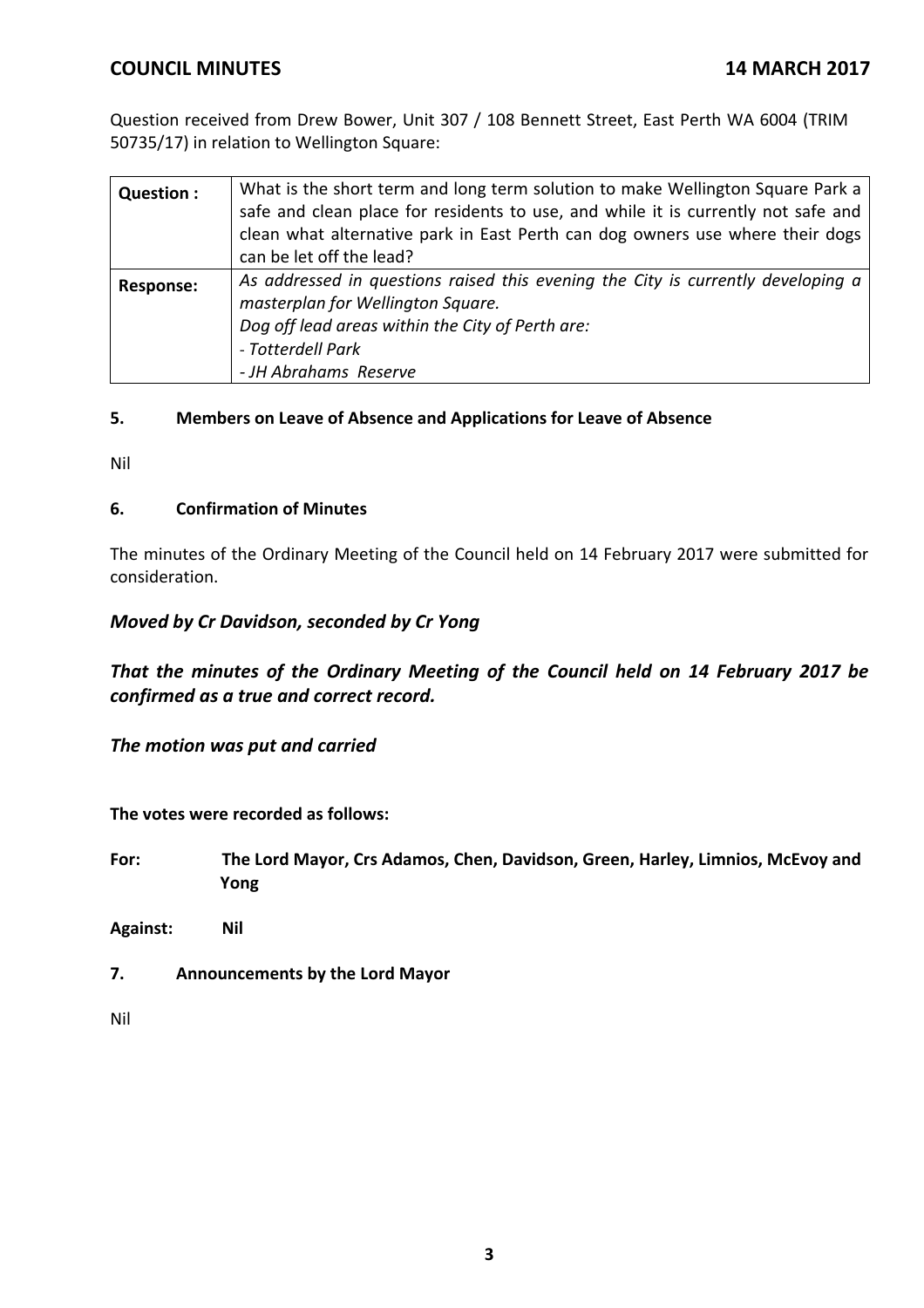Question received from Drew Bower, Unit 307 / 108 Bennett Street, East Perth WA 6004 (TRIM 50735/17) in relation to Wellington Square:

| Question :       | What is the short term and long term solution to make Wellington Square Park a<br>safe and clean place for residents to use, and while it is currently not safe and<br>clean what alternative park in East Perth can dog owners use where their dogs<br>can be let off the lead? |
|------------------|----------------------------------------------------------------------------------------------------------------------------------------------------------------------------------------------------------------------------------------------------------------------------------|
| <b>Response:</b> | As addressed in questions raised this evening the City is currently developing a<br>masterplan for Wellington Square.<br>Dog off lead areas within the City of Perth are:<br>- Totterdell Park<br>- JH Abrahams Reserve                                                          |

### **5. Members on Leave of Absence and Applications for Leave of Absence**

Nil

### **6. Confirmation of Minutes**

The minutes of the Ordinary Meeting of the Council held on 14 February 2017 were submitted for consideration.

## *Moved by Cr Davidson, seconded by Cr Yong*

*That the minutes of the Ordinary Meeting of the Council held on 14 February 2017 be confirmed as a true and correct record.*

*The motion was put and carried*

**The votes were recorded as follows:**

**For: The Lord Mayor, Crs Adamos, Chen, Davidson, Green, Harley, Limnios, McEvoy and Yong**

**Against: Nil**

**7. Announcements by the Lord Mayor**

Nil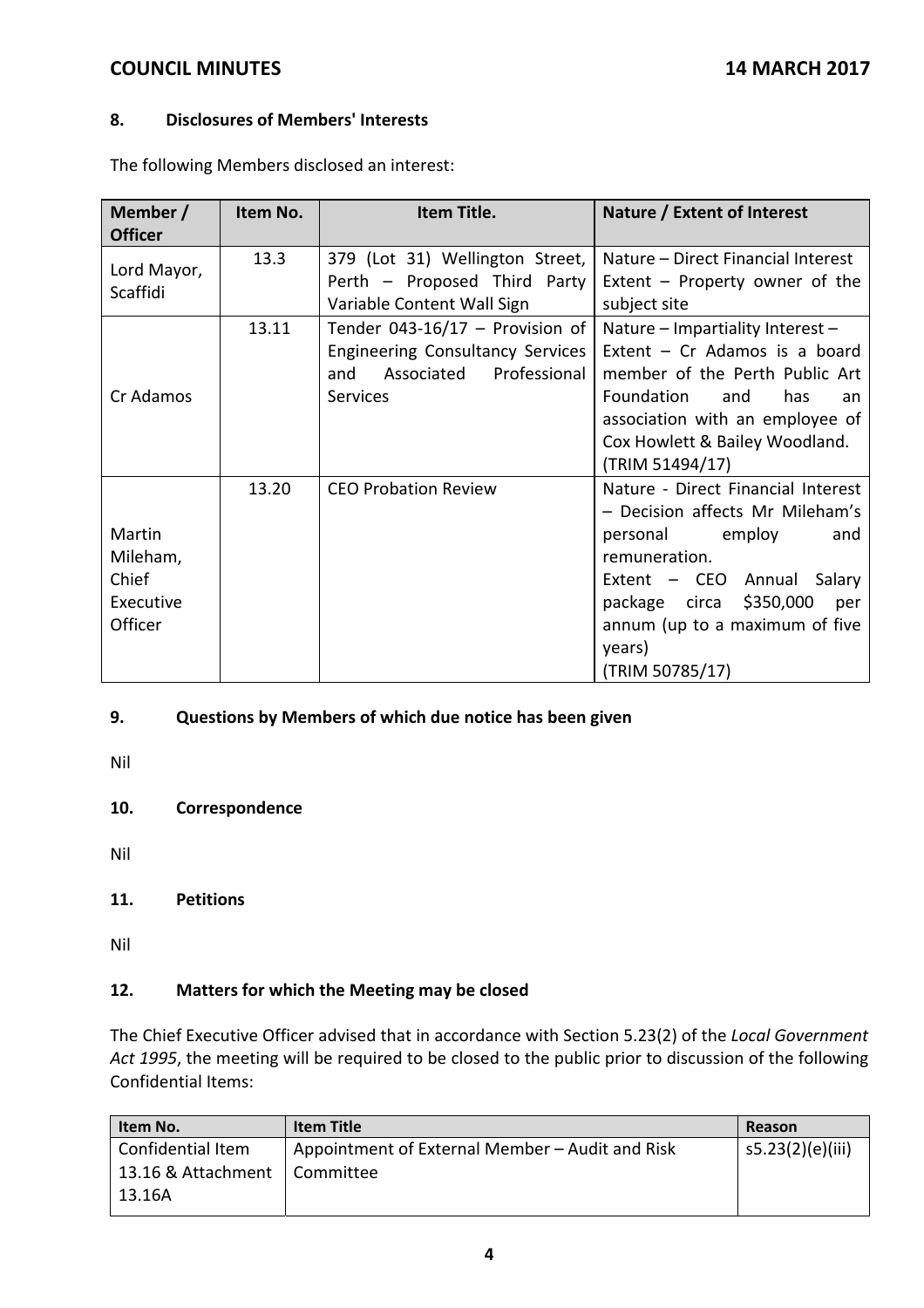### **8. Disclosures of Members' Interests**

The following Members disclosed an interest:

| Member /<br><b>Officer</b>                          | Item No. | Item Title.                                                                                                                 | Nature / Extent of Interest                                                                                                                                                                                                                     |
|-----------------------------------------------------|----------|-----------------------------------------------------------------------------------------------------------------------------|-------------------------------------------------------------------------------------------------------------------------------------------------------------------------------------------------------------------------------------------------|
| Lord Mayor,<br>Scaffidi                             | 13.3     | 379 (Lot 31) Wellington Street,<br>Perth - Proposed Third Party<br>Variable Content Wall Sign                               | Nature – Direct Financial Interest<br>Extent $-$ Property owner of the<br>subject site                                                                                                                                                          |
| Cr Adamos                                           | 13.11    | Tender 043-16/17 - Provision of<br>Engineering Consultancy Services<br>Professional<br>Associated<br>and<br><b>Services</b> | Nature - Impartiality Interest -<br>Extent $-$ Cr Adamos is a board<br>member of the Perth Public Art<br>Foundation<br>and<br>has<br>an<br>association with an employee of<br>Cox Howlett & Bailey Woodland.<br>(TRIM 51494/17)                 |
| Martin<br>Mileham,<br>Chief<br>Executive<br>Officer | 13.20    | <b>CEO Probation Review</b>                                                                                                 | Nature - Direct Financial Interest<br>- Decision affects Mr Mileham's<br>personal employ<br>and<br>remuneration.<br>Extent - CEO Annual Salary<br>package circa \$350,000<br>per<br>annum (up to a maximum of five<br>years)<br>(TRIM 50785/17) |

## **9. Questions by Members of which due notice has been given**

Nil

### **10. Correspondence**

Nil

### **11. Petitions**

Nil

## **12. Matters for which the Meeting may be closed**

The Chief Executive Officer advised that in accordance with Section 5.23(2) of the *Local Government Act 1995*, the meeting will be required to be closed to the public prior to discussion of the following Confidential Items:

| Item No.           | <b>Item Title</b>                               | Reason           |
|--------------------|-------------------------------------------------|------------------|
| Confidential Item  | Appointment of External Member – Audit and Risk | s5.23(2)(e)(iii) |
| 13.16 & Attachment | I Committee                                     |                  |
| 13.16A             |                                                 |                  |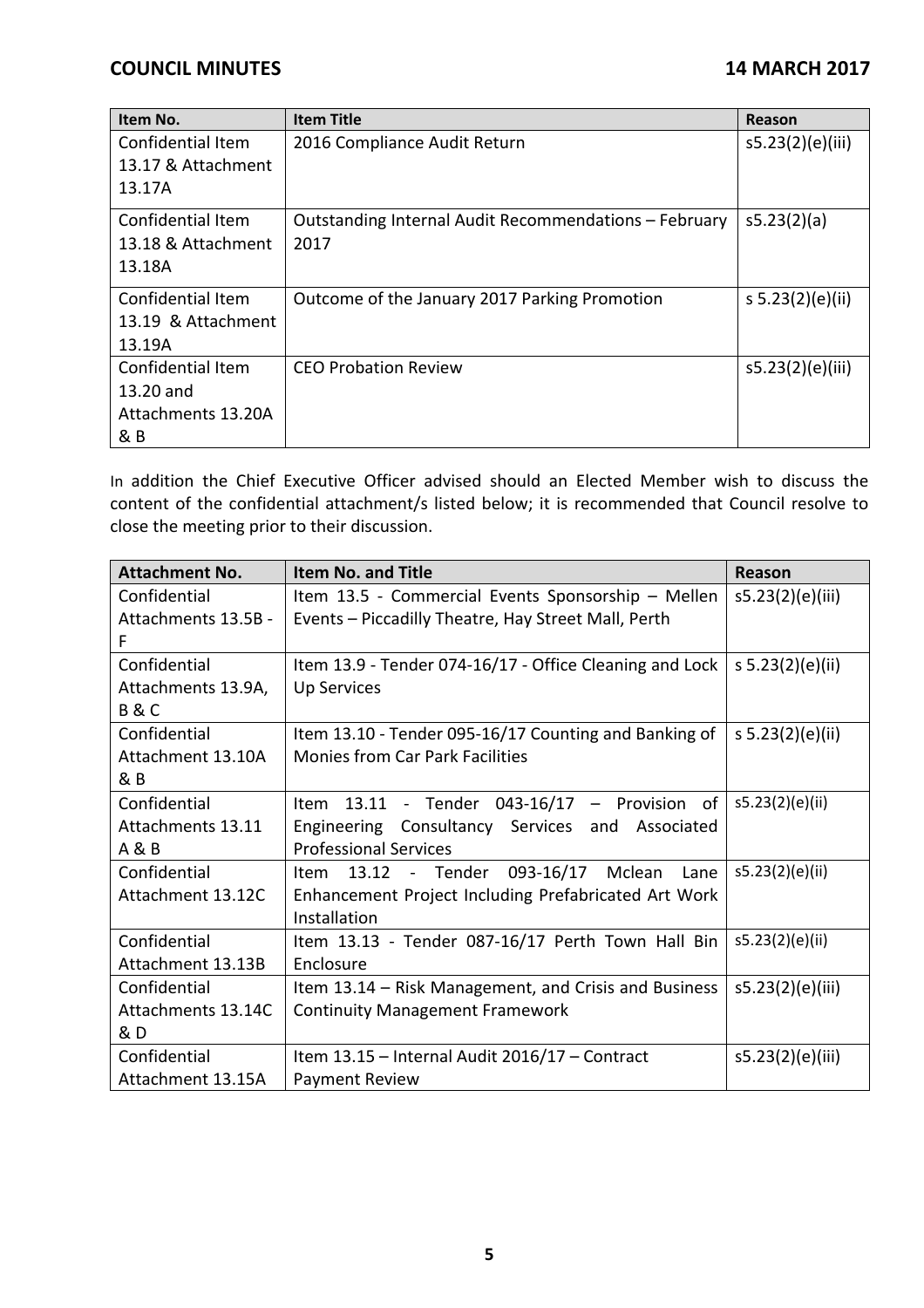| Item No.                 | <b>Item Title</b>                                     | Reason           |
|--------------------------|-------------------------------------------------------|------------------|
| Confidential Item        | 2016 Compliance Audit Return                          | s5.23(2)(e)(iii) |
| 13.17 & Attachment       |                                                       |                  |
| 13.17A                   |                                                       |                  |
| Confidential Item        | Outstanding Internal Audit Recommendations - February | s5.23(2)(a)      |
| 13.18 & Attachment       | 2017                                                  |                  |
| 13.18A                   |                                                       |                  |
| Confidential Item        | Outcome of the January 2017 Parking Promotion         | s 5.23(2)(e)(ii) |
| 13.19 & Attachment       |                                                       |                  |
| 13.19A                   |                                                       |                  |
| <b>Confidential Item</b> | CFO Probation Review                                  | s5.23(2)(e)(iii) |
| 13.20 and                |                                                       |                  |
| Attachments 13.20A       |                                                       |                  |
| & B                      |                                                       |                  |

In addition the Chief Executive Officer advised should an Elected Member wish to discuss the content of the confidential attachment/s listed below; it is recommended that Council resolve to close the meeting prior to their discussion.

| <b>Attachment No.</b> | <b>Item No. and Title</b>                               | Reason           |
|-----------------------|---------------------------------------------------------|------------------|
| Confidential          | Item 13.5 - Commercial Events Sponsorship - Mellen      | s5.23(2)(e)(iii) |
| Attachments 13.5B -   | Events - Piccadilly Theatre, Hay Street Mall, Perth     |                  |
| F                     |                                                         |                  |
| Confidential          | Item 13.9 - Tender 074-16/17 - Office Cleaning and Lock | s 5.23(2)(e)(ii) |
| Attachments 13.9A,    | <b>Up Services</b>                                      |                  |
| <b>B&amp;C</b>        |                                                         |                  |
| Confidential          | Item 13.10 - Tender 095-16/17 Counting and Banking of   | s 5.23(2)(e)(ii) |
| Attachment 13.10A     | <b>Monies from Car Park Facilities</b>                  |                  |
| & B                   |                                                         |                  |
| Confidential          | Item 13.11 - Tender 043-16/17 - Provision of            | s5.23(2)(e)(ii)  |
| Attachments 13.11     | Engineering Consultancy Services and Associated         |                  |
| A & B                 | <b>Professional Services</b>                            |                  |
| Confidential          | Item 13.12 - Tender 093-16/17 Mclean<br>Lane            | s5.23(2)(e)(ii)  |
| Attachment 13.12C     | Enhancement Project Including Prefabricated Art Work    |                  |
|                       | Installation                                            |                  |
| Confidential          | Item 13.13 - Tender 087-16/17 Perth Town Hall Bin       | s5.23(2)(e)(ii)  |
| Attachment 13.13B     | Enclosure                                               |                  |
| Confidential          | Item 13.14 – Risk Management, and Crisis and Business   | s5.23(2)(e)(iii) |
| Attachments 13.14C    | <b>Continuity Management Framework</b>                  |                  |
| & D                   |                                                         |                  |
| Confidential          | Item 13.15 - Internal Audit 2016/17 - Contract          | s5.23(2)(e)(iii) |
| Attachment 13.15A     | Payment Review                                          |                  |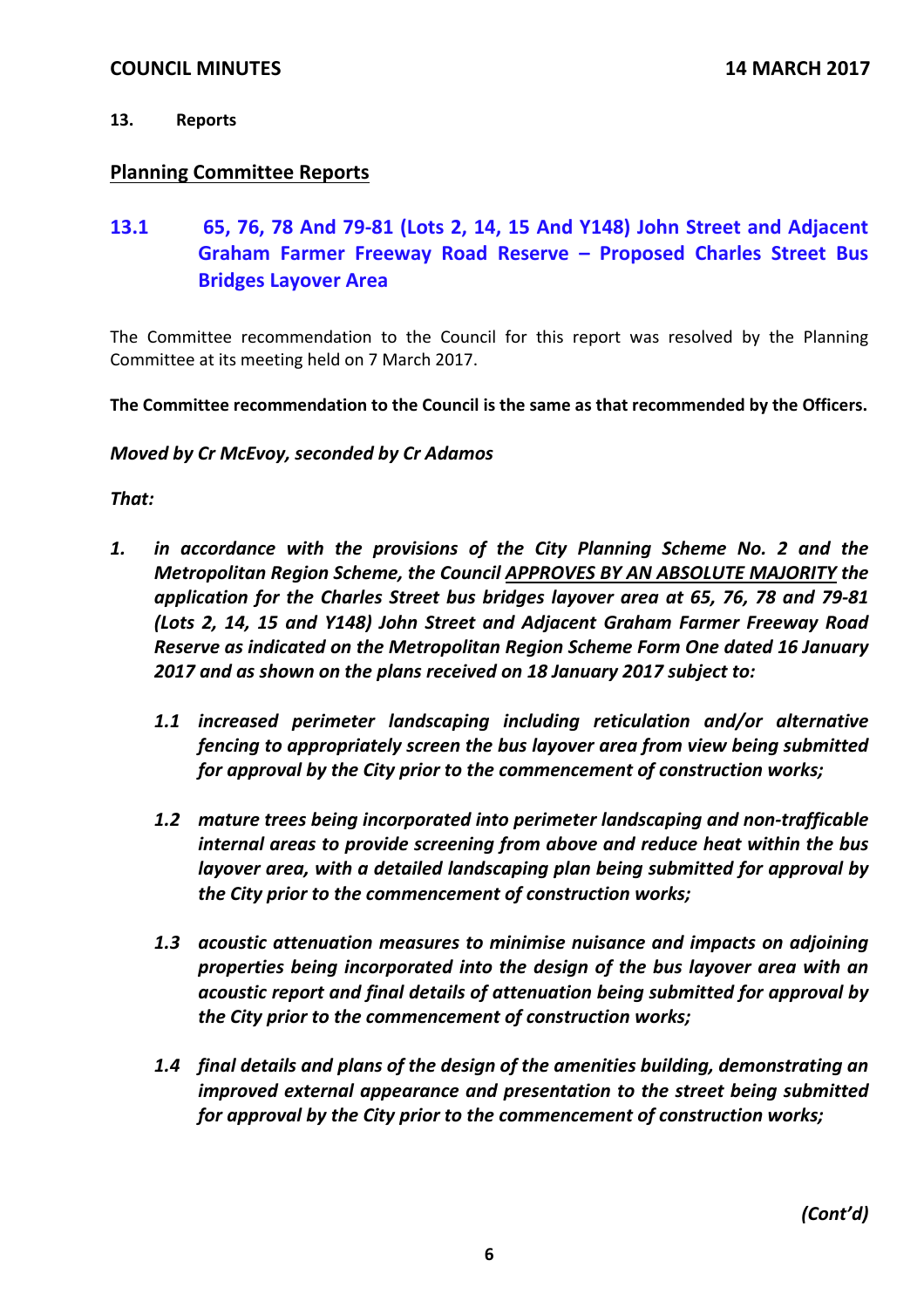## **13. Reports**

## **Planning Committee Reports**

**13.1 65, 76, 78 And 79‐81 (Lots 2, 14, 15 And Y148) John Street and Adjacent Graham Farmer Freeway Road Reserve – Proposed Charles Street Bus Bridges Layover Area**

The Committee recommendation to the Council for this report was resolved by the Planning Committee at its meeting held on 7 March 2017.

**The Committee recommendation to the Council is the same as that recommended by the Officers.**

*Moved by Cr McEvoy, seconded by Cr Adamos*

*That:*

- *1. in accordance with the provisions of the City Planning Scheme No. 2 and the Metropolitan Region Scheme, the Council APPROVES BY AN ABSOLUTE MAJORITY the application for the Charles Street bus bridges layover area at 65, 76, 78 and 79‐81 (Lots 2, 14, 15 and Y148) John Street and Adjacent Graham Farmer Freeway Road Reserve as indicated on the Metropolitan Region Scheme Form One dated 16 January 2017 and as shown on the plans received on 18 January 2017 subject to:* 
	- *1.1 increased perimeter landscaping including reticulation and/or alternative fencing to appropriately screen the bus layover area from view being submitted for approval by the City prior to the commencement of construction works;*
	- *1.2 mature trees being incorporated into perimeter landscaping and non‐trafficable internal areas to provide screening from above and reduce heat within the bus layover area, with a detailed landscaping plan being submitted for approval by the City prior to the commencement of construction works;*
	- *1.3 acoustic attenuation measures to minimise nuisance and impacts on adjoining properties being incorporated into the design of the bus layover area with an acoustic report and final details of attenuation being submitted for approval by the City prior to the commencement of construction works;*
	- *1.4 final details and plans of the design of the amenities building, demonstrating an improved external appearance and presentation to the street being submitted for approval by the City prior to the commencement of construction works;*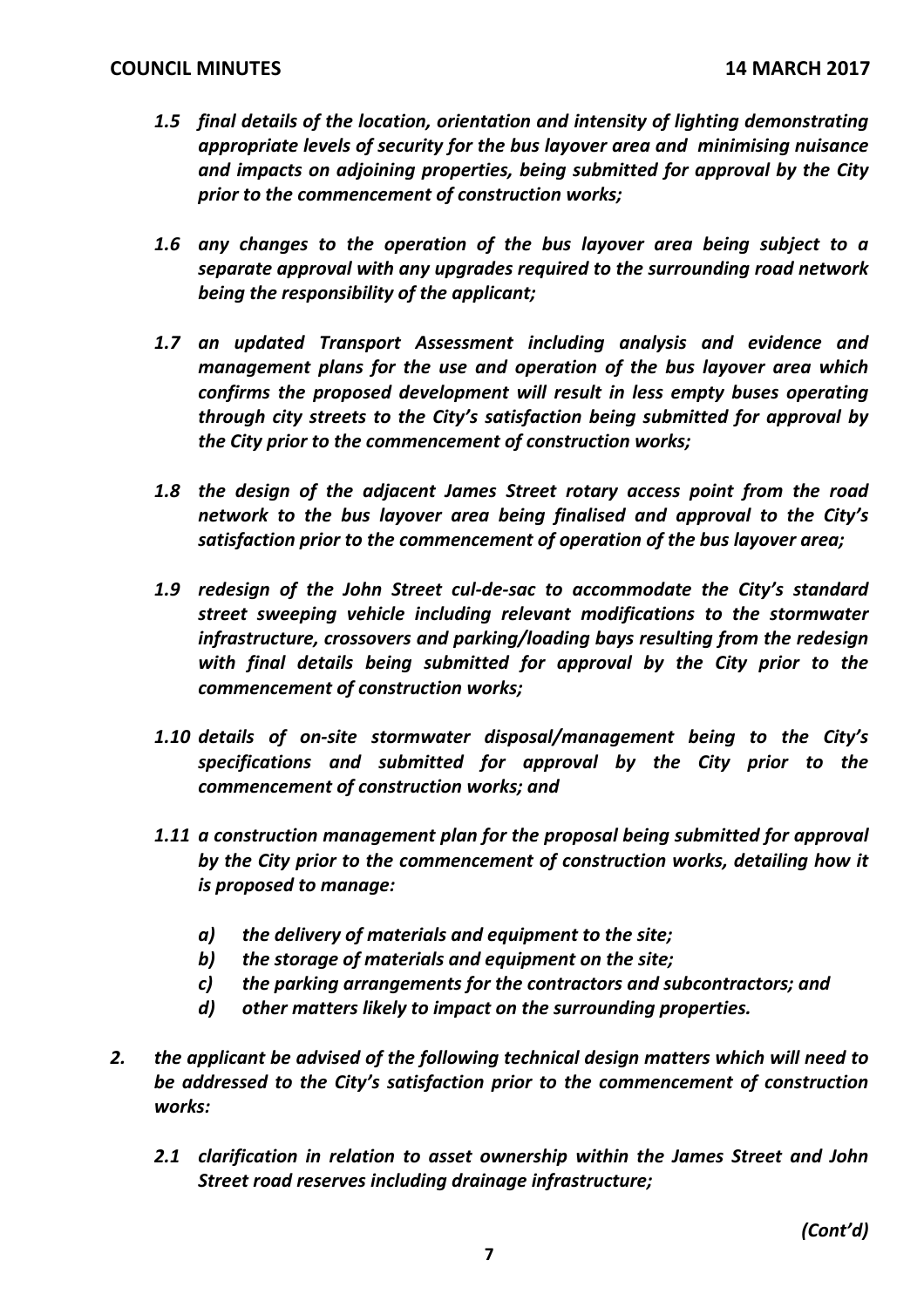- *1.5 final details of the location, orientation and intensity of lighting demonstrating appropriate levels of security for the bus layover area and minimising nuisance and impacts on adjoining properties, being submitted for approval by the City prior to the commencement of construction works;*
- *1.6 any changes to the operation of the bus layover area being subject to a separate approval with any upgrades required to the surrounding road network being the responsibility of the applicant;*
- *1.7 an updated Transport Assessment including analysis and evidence and management plans for the use and operation of the bus layover area which confirms the proposed development will result in less empty buses operating through city streets to the City's satisfaction being submitted for approval by the City prior to the commencement of construction works;*
- *1.8 the design of the adjacent James Street rotary access point from the road network to the bus layover area being finalised and approval to the City's satisfaction prior to the commencement of operation of the bus layover area;*
- *1.9 redesign of the John Street cul‐de‐sac to accommodate the City's standard street sweeping vehicle including relevant modifications to the stormwater infrastructure, crossovers and parking/loading bays resulting from the redesign with final details being submitted for approval by the City prior to the commencement of construction works;*
- *1.10 details of on‐site stormwater disposal/management being to the City's specifications and submitted for approval by the City prior to the commencement of construction works; and*
- *1.11 a construction management plan for the proposal being submitted for approval by the City prior to the commencement of construction works, detailing how it is proposed to manage:*
	- *a) the delivery of materials and equipment to the site;*
	- *b) the storage of materials and equipment on the site;*
	- *c) the parking arrangements for the contractors and subcontractors; and*
	- *d) other matters likely to impact on the surrounding properties.*
- *2. the applicant be advised of the following technical design matters which will need to be addressed to the City's satisfaction prior to the commencement of construction works:*
	- *2.1 clarification in relation to asset ownership within the James Street and John Street road reserves including drainage infrastructure;*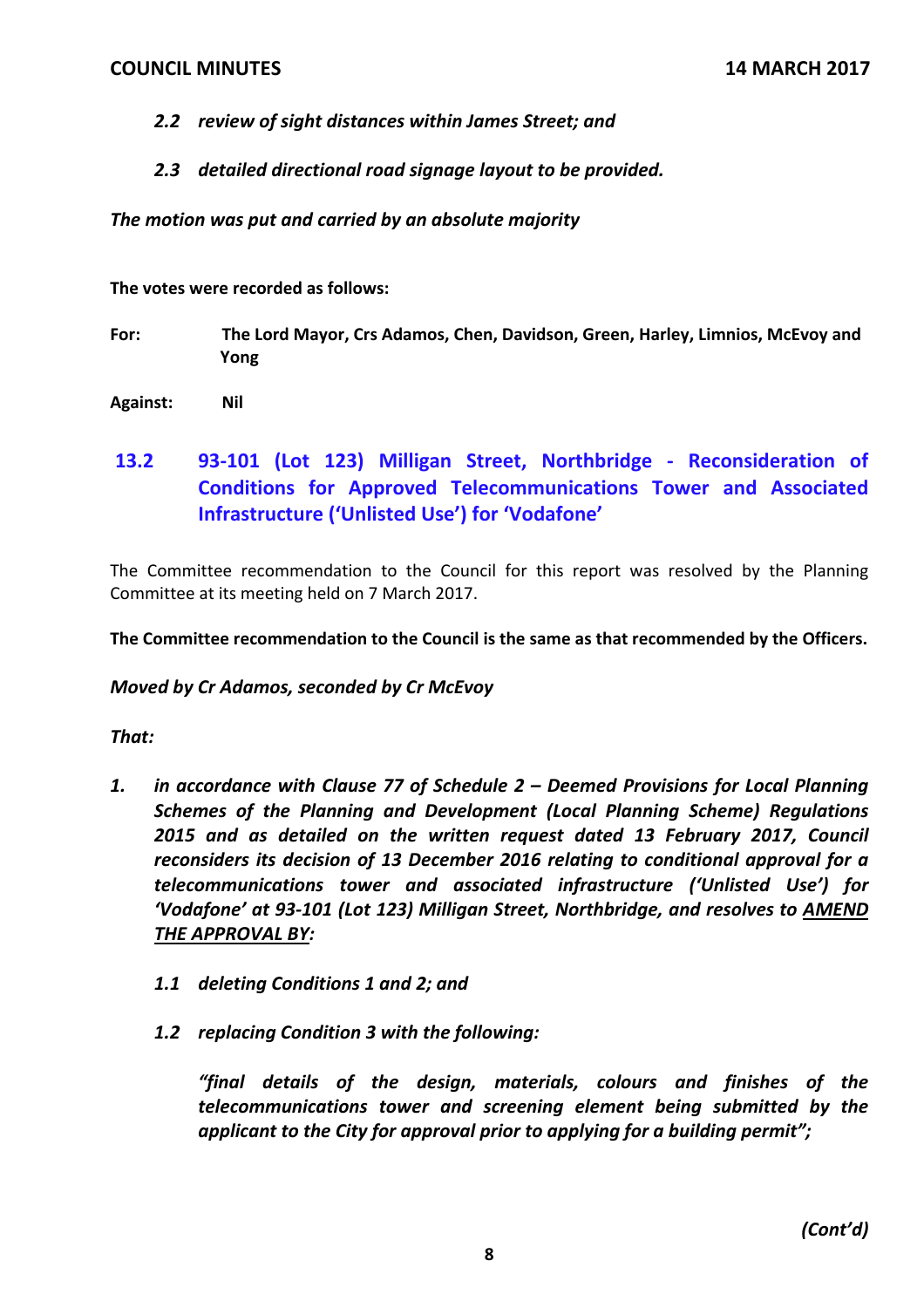- *2.2 review of sight distances within James Street; and*
- *2.3 detailed directional road signage layout to be provided.*

*The motion was put and carried by an absolute majority*

**The votes were recorded as follows:**

- **For: The Lord Mayor, Crs Adamos, Chen, Davidson, Green, Harley, Limnios, McEvoy and Yong**
- **Against: Nil**
- **13.2 93‐101 (Lot 123) Milligan Street, Northbridge ‐ Reconsideration of Conditions for Approved Telecommunications Tower and Associated Infrastructure ('Unlisted Use') for 'Vodafone'**

The Committee recommendation to the Council for this report was resolved by the Planning Committee at its meeting held on 7 March 2017.

**The Committee recommendation to the Council is the same as that recommended by the Officers.**

## *Moved by Cr Adamos, seconded by Cr McEvoy*

## *That:*

- *1. in accordance with Clause 77 of Schedule 2 – Deemed Provisions for Local Planning Schemes of the Planning and Development (Local Planning Scheme) Regulations 2015 and as detailed on the written request dated 13 February 2017, Council reconsiders its decision of 13 December 2016 relating to conditional approval for a telecommunications tower and associated infrastructure ('Unlisted Use') for 'Vodafone' at 93‐101 (Lot 123) Milligan Street, Northbridge, and resolves to AMEND THE APPROVAL BY:*
	- *1.1 deleting Conditions 1 and 2; and*
	- *1.2 replacing Condition 3 with the following:*

*"final details of the design, materials, colours and finishes of the telecommunications tower and screening element being submitted by the applicant to the City for approval prior to applying for a building permit";*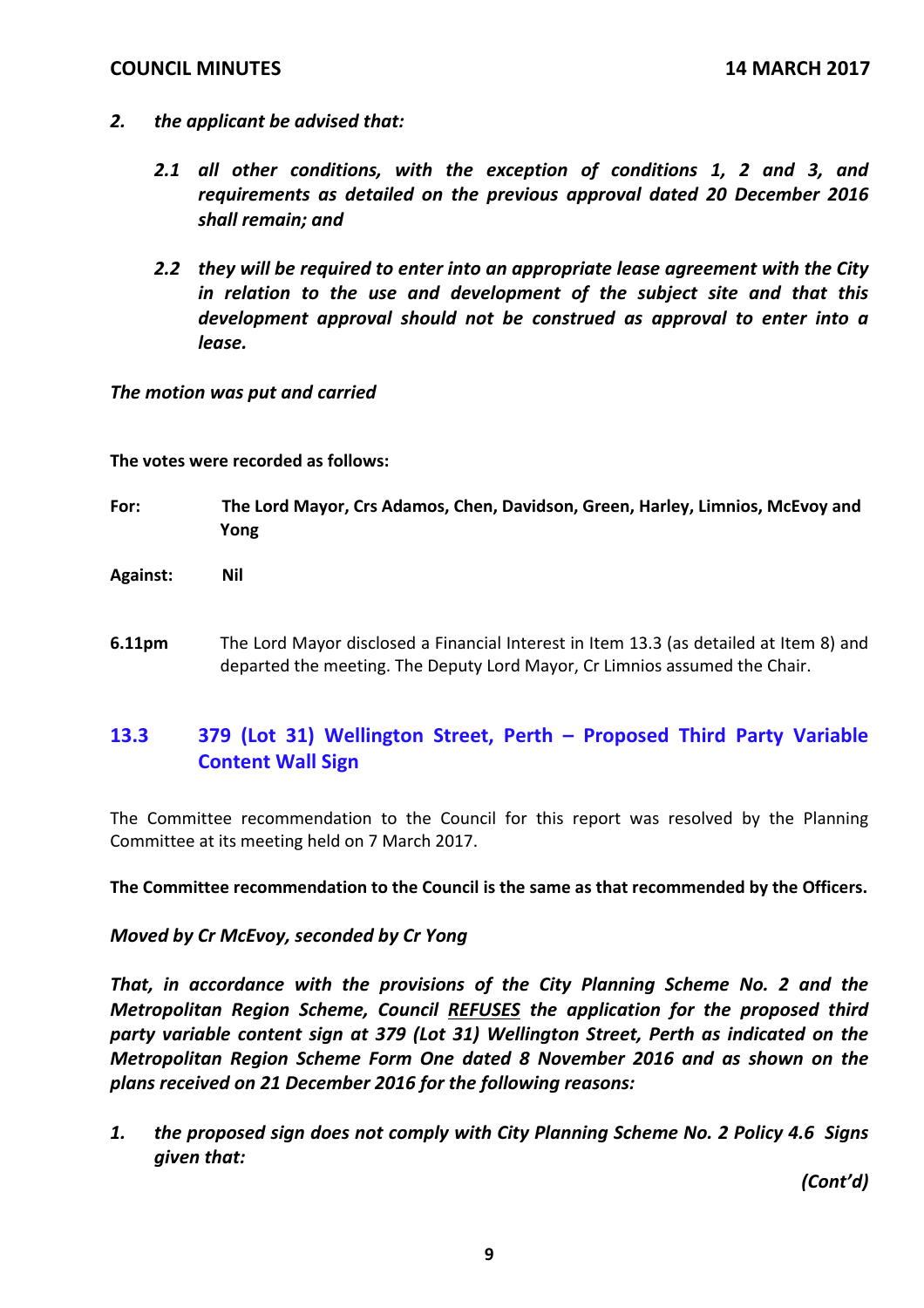- *2. the applicant be advised that:* 
	- *2.1 all other conditions, with the exception of conditions 1, 2 and 3, and requirements as detailed on the previous approval dated 20 December 2016 shall remain; and*
	- *2.2 they will be required to enter into an appropriate lease agreement with the City in relation to the use and development of the subject site and that this development approval should not be construed as approval to enter into a lease.*

### *The motion was put and carried*

### **The votes were recorded as follows:**

- **For: The Lord Mayor, Crs Adamos, Chen, Davidson, Green, Harley, Limnios, McEvoy and Yong**
- **Against: Nil**
- **6.11pm** The Lord Mayor disclosed a Financial Interest in Item 13.3 (as detailed at Item 8) and departed the meeting. The Deputy Lord Mayor, Cr Limnios assumed the Chair.

# **13.3 379 (Lot 31) Wellington Street, Perth – Proposed Third Party Variable Content Wall Sign**

The Committee recommendation to the Council for this report was resolved by the Planning Committee at its meeting held on 7 March 2017.

**The Committee recommendation to the Council is the same as that recommended by the Officers.**

### *Moved by Cr McEvoy, seconded by Cr Yong*

*That, in accordance with the provisions of the City Planning Scheme No. 2 and the Metropolitan Region Scheme, Council REFUSES the application for the proposed third party variable content sign at 379 (Lot 31) Wellington Street, Perth as indicated on the Metropolitan Region Scheme Form One dated 8 November 2016 and as shown on the plans received on 21 December 2016 for the following reasons:*

*1. the proposed sign does not comply with City Planning Scheme No. 2 Policy 4.6 Signs given that:*

*(Cont'd)*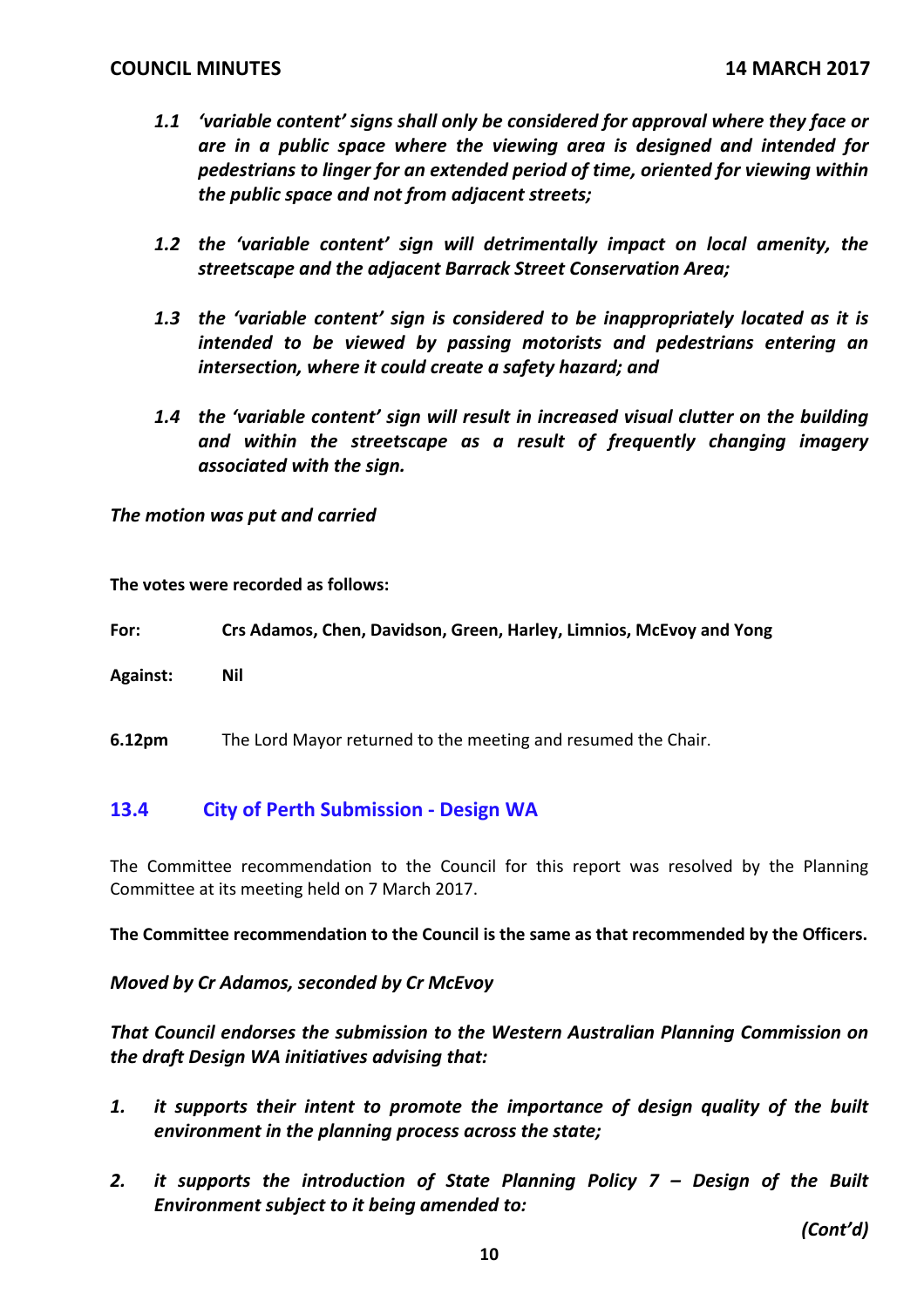- *1.1 'variable content' signs shall only be considered for approval where they face or are in a public space where the viewing area is designed and intended for pedestrians to linger for an extended period of time, oriented for viewing within the public space and not from adjacent streets;*
- *1.2 the 'variable content' sign will detrimentally impact on local amenity, the streetscape and the adjacent Barrack Street Conservation Area;*
- *1.3 the 'variable content' sign is considered to be inappropriately located as it is intended to be viewed by passing motorists and pedestrians entering an intersection, where it could create a safety hazard; and*
- *1.4 the 'variable content' sign will result in increased visual clutter on the building and within the streetscape as a result of frequently changing imagery associated with the sign.*

*The motion was put and carried*

**The votes were recorded as follows:**

**For: Crs Adamos, Chen, Davidson, Green, Harley, Limnios, McEvoy and Yong**

**Against: Nil**

**6.12pm** The Lord Mayor returned to the meeting and resumed the Chair.

## **13.4 City of Perth Submission ‐ Design WA**

The Committee recommendation to the Council for this report was resolved by the Planning Committee at its meeting held on 7 March 2017.

**The Committee recommendation to the Council is the same as that recommended by the Officers.**

*Moved by Cr Adamos, seconded by Cr McEvoy*

*That Council endorses the submission to the Western Australian Planning Commission on the draft Design WA initiatives advising that:*

- *1. it supports their intent to promote the importance of design quality of the built environment in the planning process across the state;*
- *2. it supports the introduction of State Planning Policy 7 – Design of the Built Environment subject to it being amended to:*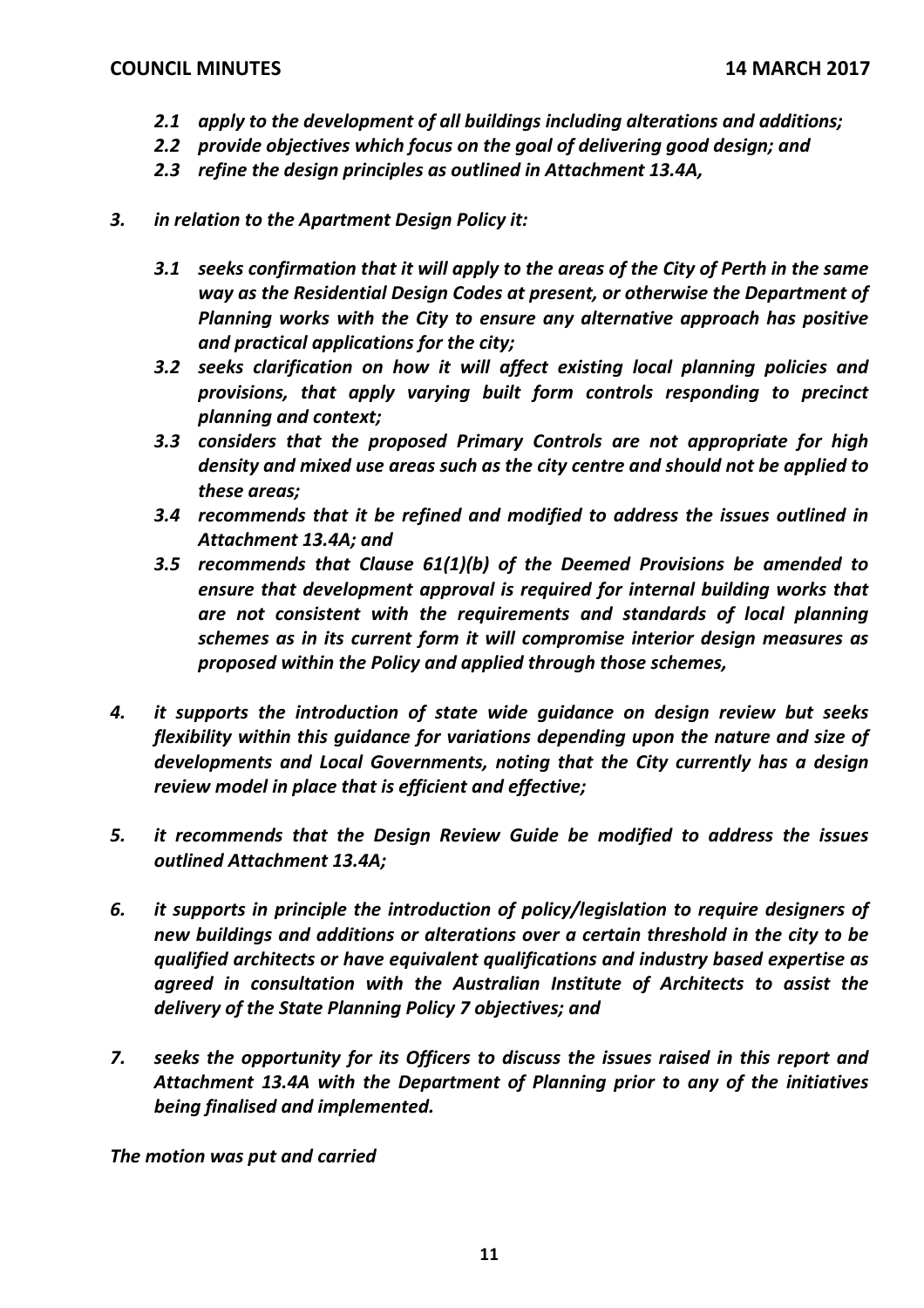- *2.1 apply to the development of all buildings including alterations and additions;*
- *2.2 provide objectives which focus on the goal of delivering good design; and*
- *2.3 refine the design principles as outlined in Attachment 13.4A,*
- *3. in relation to the Apartment Design Policy it:*
	- *3.1 seeks confirmation that it will apply to the areas of the City of Perth in the same way as the Residential Design Codes at present, or otherwise the Department of Planning works with the City to ensure any alternative approach has positive and practical applications for the city;*
	- *3.2 seeks clarification on how it will affect existing local planning policies and provisions, that apply varying built form controls responding to precinct planning and context;*
	- *3.3 considers that the proposed Primary Controls are not appropriate for high density and mixed use areas such as the city centre and should not be applied to these areas;*
	- *3.4 recommends that it be refined and modified to address the issues outlined in Attachment 13.4A; and*
	- *3.5 recommends that Clause 61(1)(b) of the Deemed Provisions be amended to ensure that development approval is required for internal building works that are not consistent with the requirements and standards of local planning schemes as in its current form it will compromise interior design measures as proposed within the Policy and applied through those schemes,*
- *4. it supports the introduction of state wide guidance on design review but seeks flexibility within this guidance for variations depending upon the nature and size of developments and Local Governments, noting that the City currently has a design review model in place that is efficient and effective;*
- *5. it recommends that the Design Review Guide be modified to address the issues outlined Attachment 13.4A;*
- *6. it supports in principle the introduction of policy/legislation to require designers of new buildings and additions or alterations over a certain threshold in the city to be qualified architects or have equivalent qualifications and industry based expertise as agreed in consultation with the Australian Institute of Architects to assist the delivery of the State Planning Policy 7 objectives; and*
- *7. seeks the opportunity for its Officers to discuss the issues raised in this report and Attachment 13.4A with the Department of Planning prior to any of the initiatives being finalised and implemented.*

*The motion was put and carried*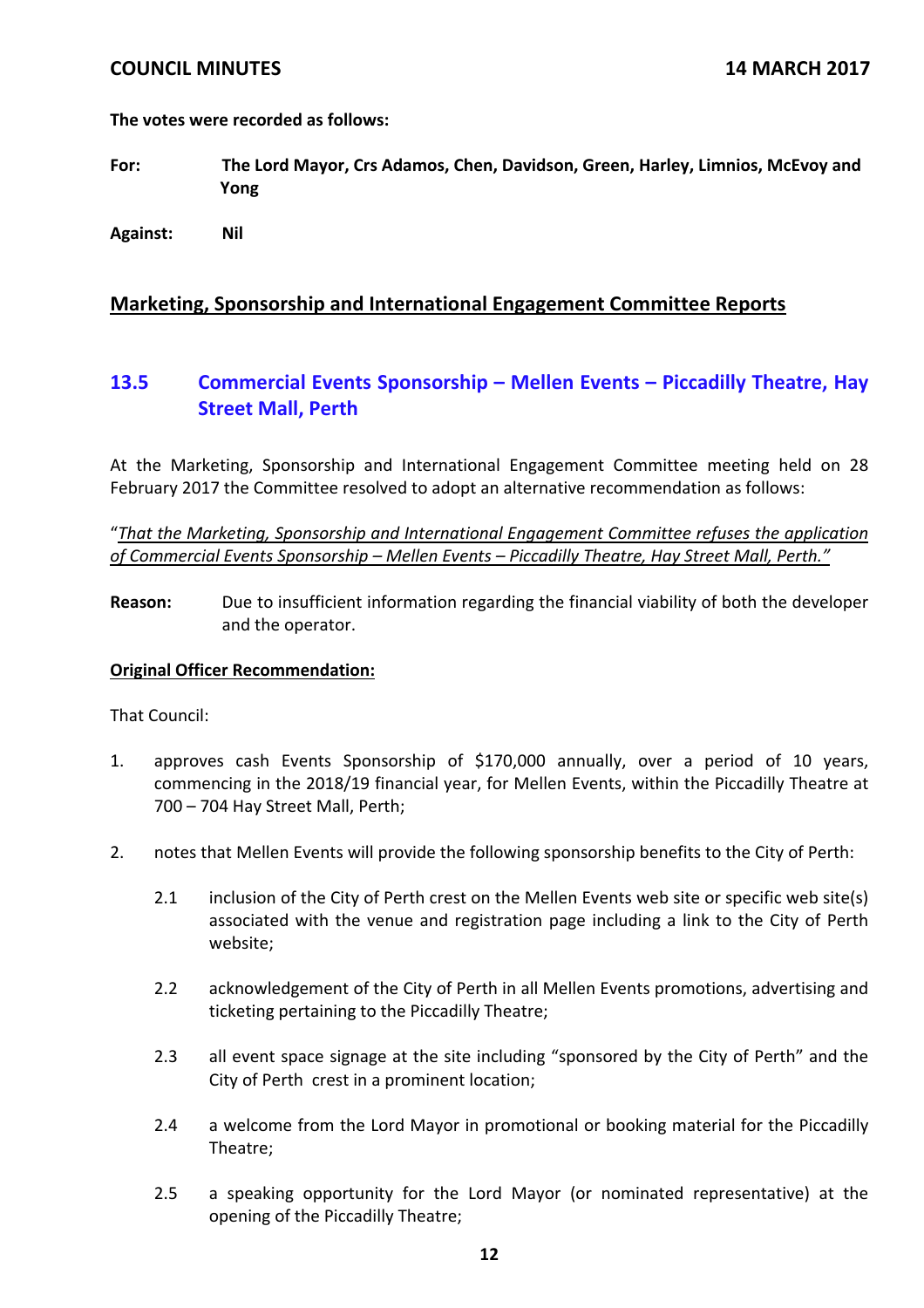**The votes were recorded as follows:**

- **For: The Lord Mayor, Crs Adamos, Chen, Davidson, Green, Harley, Limnios, McEvoy and Yong**
- **Against: Nil**

## **Marketing, Sponsorship and International Engagement Committee Reports**

## **13.5 Commercial Events Sponsorship – Mellen Events – Piccadilly Theatre, Hay Street Mall, Perth**

At the Marketing, Sponsorship and International Engagement Committee meeting held on 28 February 2017 the Committee resolved to adopt an alternative recommendation as follows:

"*That the Marketing, Sponsorship and International Engagement Committee refuses the application of Commercial Events Sponsorship – Mellen Events – Piccadilly Theatre, Hay Street Mall, Perth."*

**Reason:** Due to insufficient information regarding the financial viability of both the developer and the operator.

#### **Original Officer Recommendation:**

That Council:

- 1. approves cash Events Sponsorship of \$170,000 annually, over a period of 10 years, commencing in the 2018/19 financial year, for Mellen Events, within the Piccadilly Theatre at 700 – 704 Hay Street Mall, Perth;
- 2. notes that Mellen Events will provide the following sponsorship benefits to the City of Perth:
	- 2.1 inclusion of the City of Perth crest on the Mellen Events web site or specific web site(s) associated with the venue and registration page including a link to the City of Perth website;
	- 2.2 acknowledgement of the City of Perth in all Mellen Events promotions, advertising and ticketing pertaining to the Piccadilly Theatre;
	- 2.3 all event space signage at the site including "sponsored by the City of Perth" and the City of Perth crest in a prominent location;
	- 2.4 a welcome from the Lord Mayor in promotional or booking material for the Piccadilly Theatre;
	- 2.5 a speaking opportunity for the Lord Mayor (or nominated representative) at the opening of the Piccadilly Theatre;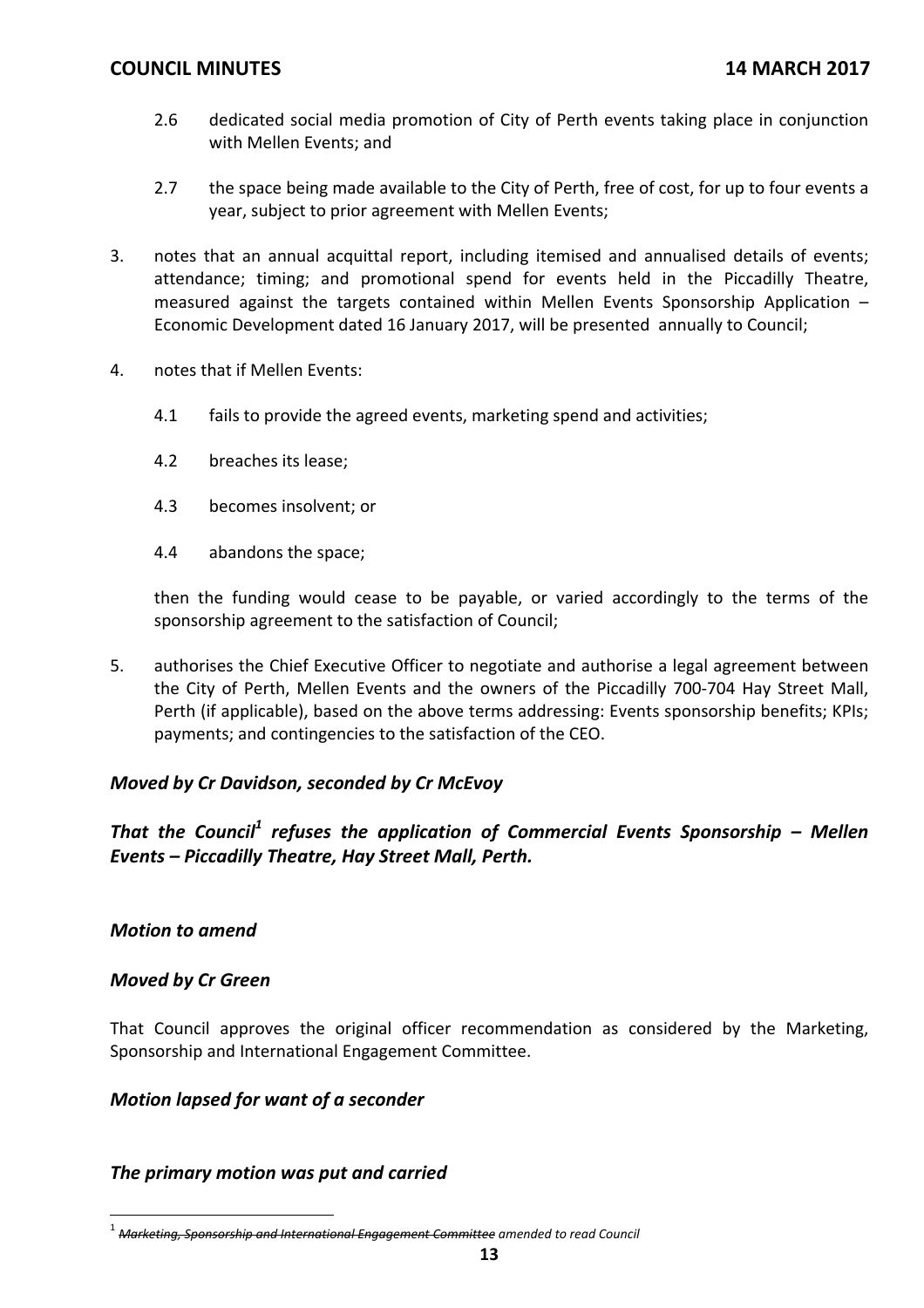- 2.6 dedicated social media promotion of City of Perth events taking place in conjunction with Mellen Events; and
- 2.7 the space being made available to the City of Perth, free of cost, for up to four events a year, subject to prior agreement with Mellen Events;
- 3. notes that an annual acquittal report, including itemised and annualised details of events; attendance; timing; and promotional spend for events held in the Piccadilly Theatre, measured against the targets contained within Mellen Events Sponsorship Application – Economic Development dated 16 January 2017, will be presented annually to Council;
- 4. notes that if Mellen Events:
	- 4.1 fails to provide the agreed events, marketing spend and activities;
	- 4.2 breaches its lease;
	- 4.3 becomes insolvent; or
	- 4.4 abandons the space;

then the funding would cease to be payable, or varied accordingly to the terms of the sponsorship agreement to the satisfaction of Council;

5. authorises the Chief Executive Officer to negotiate and authorise a legal agreement between the City of Perth, Mellen Events and the owners of the Piccadilly 700‐704 Hay Street Mall, Perth (if applicable), based on the above terms addressing: Events sponsorship benefits; KPIs; payments; and contingencies to the satisfaction of the CEO.

## *Moved by Cr Davidson, seconded by Cr McEvoy*

*That the Council<sup>1</sup> refuses the application of Commercial Events Sponsorship – Mellen Events – Piccadilly Theatre, Hay Street Mall, Perth.*

## *Motion to amend*

### *Moved by Cr Green*

That Council approves the original officer recommendation as considered by the Marketing, Sponsorship and International Engagement Committee.

## *Motion lapsed for want of a seconder*

## *The primary motion was put and carried*

<sup>1</sup> *Marketing, Sponsorship and International Engagement Committee amended to read Council*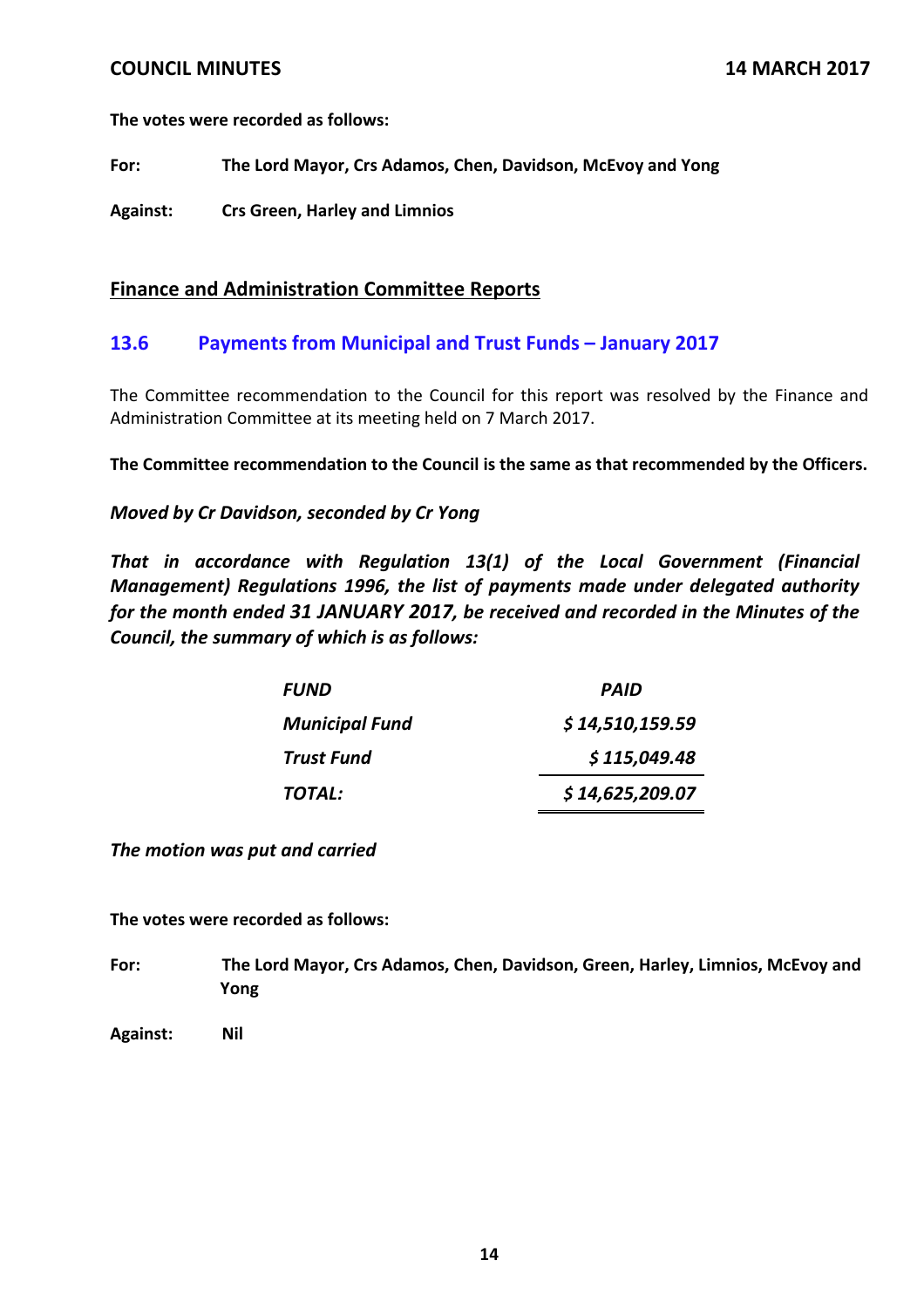**The votes were recorded as follows:**

**For: The Lord Mayor, Crs Adamos, Chen, Davidson, McEvoy and Yong**

**Against: Crs Green, Harley and Limnios**

### **Finance and Administration Committee Reports**

## **13.6 Payments from Municipal and Trust Funds – January 2017**

The Committee recommendation to the Council for this report was resolved by the Finance and Administration Committee at its meeting held on 7 March 2017.

**The Committee recommendation to the Council is the same as that recommended by the Officers.**

### *Moved by Cr Davidson, seconded by Cr Yong*

*That in accordance with Regulation 13(1) of the Local Government (Financial Management) Regulations 1996, the list of payments made under delegated authority for the month ended 31 JANUARY 2017, be received and recorded in the Minutes of the Council, the summary of which is as follows:*

| <b>FUND</b>           | PAID            |
|-----------------------|-----------------|
| <b>Municipal Fund</b> | \$14,510,159.59 |
| <b>Trust Fund</b>     | \$115,049.48    |
| TOTAL:                | \$14,625,209.07 |

*The motion was put and carried*

**The votes were recorded as follows:**

- **For: The Lord Mayor, Crs Adamos, Chen, Davidson, Green, Harley, Limnios, McEvoy and Yong**
- **Against: Nil**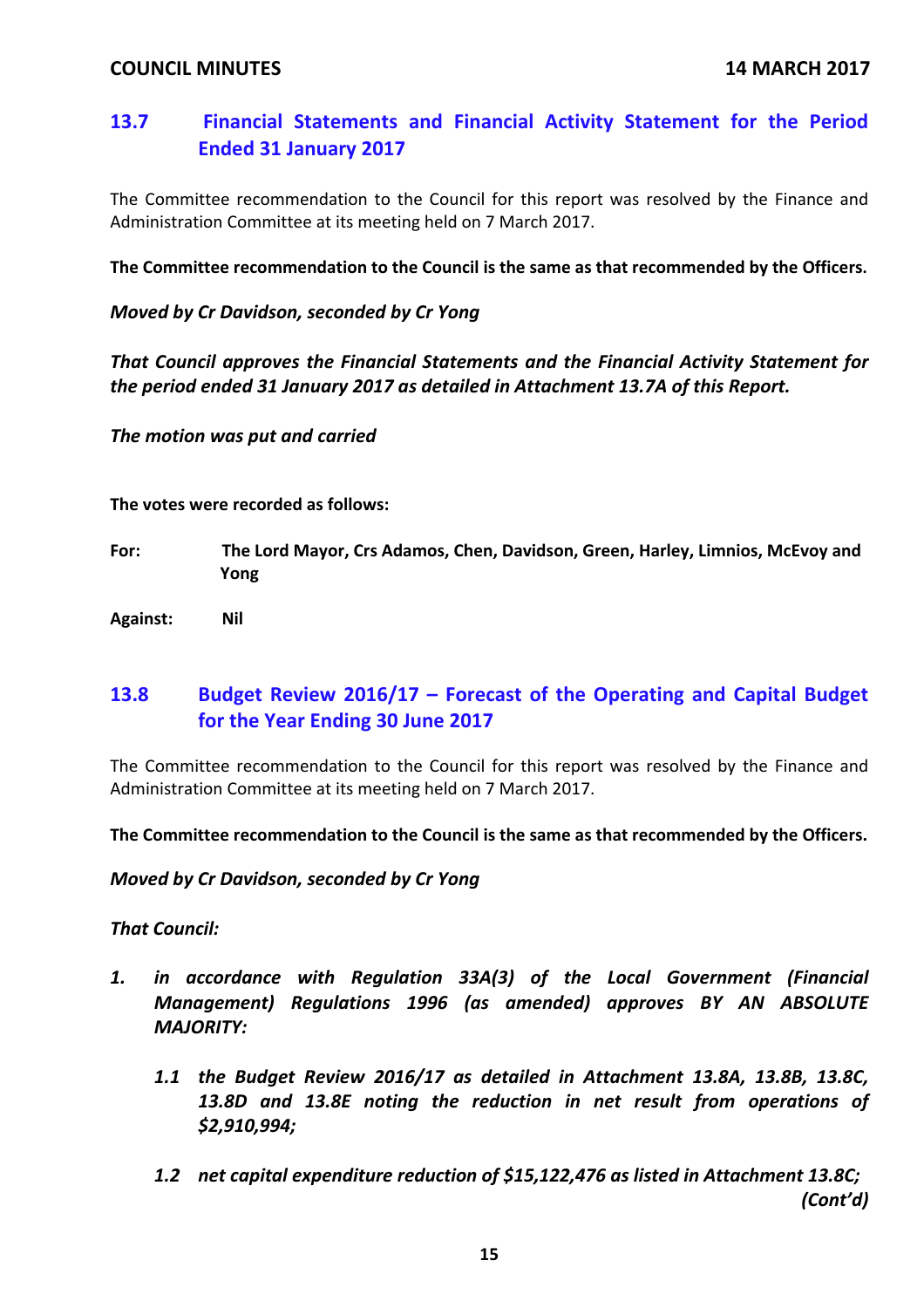# **13.7 Financial Statements and Financial Activity Statement for the Period Ended 31 January 2017**

The Committee recommendation to the Council for this report was resolved by the Finance and Administration Committee at its meeting held on 7 March 2017.

**The Committee recommendation to the Council is the same as that recommended by the Officers.**

### *Moved by Cr Davidson, seconded by Cr Yong*

*That Council approves the Financial Statements and the Financial Activity Statement for the period ended 31 January 2017 as detailed in Attachment 13.7A of this Report.*

*The motion was put and carried*

**The votes were recorded as follows:**

- **For: The Lord Mayor, Crs Adamos, Chen, Davidson, Green, Harley, Limnios, McEvoy and Yong**
- **Against: Nil**

# **13.8 Budget Review 2016/17 – Forecast of the Operating and Capital Budget for the Year Ending 30 June 2017**

The Committee recommendation to the Council for this report was resolved by the Finance and Administration Committee at its meeting held on 7 March 2017.

**The Committee recommendation to the Council is the same as that recommended by the Officers.**

*Moved by Cr Davidson, seconded by Cr Yong*

## *That Council:*

- *1. in accordance with Regulation 33A(3) of the Local Government (Financial Management) Regulations 1996 (as amended) approves BY AN ABSOLUTE MAJORITY:*
	- *1.1 the Budget Review 2016/17 as detailed in Attachment 13.8A, 13.8B, 13.8C, 13.8D and 13.8E noting the reduction in net result from operations of \$2,910,994;*
	- *1.2 net capital expenditure reduction of \$15,122,476 as listed in Attachment 13.8C; (Cont'd)*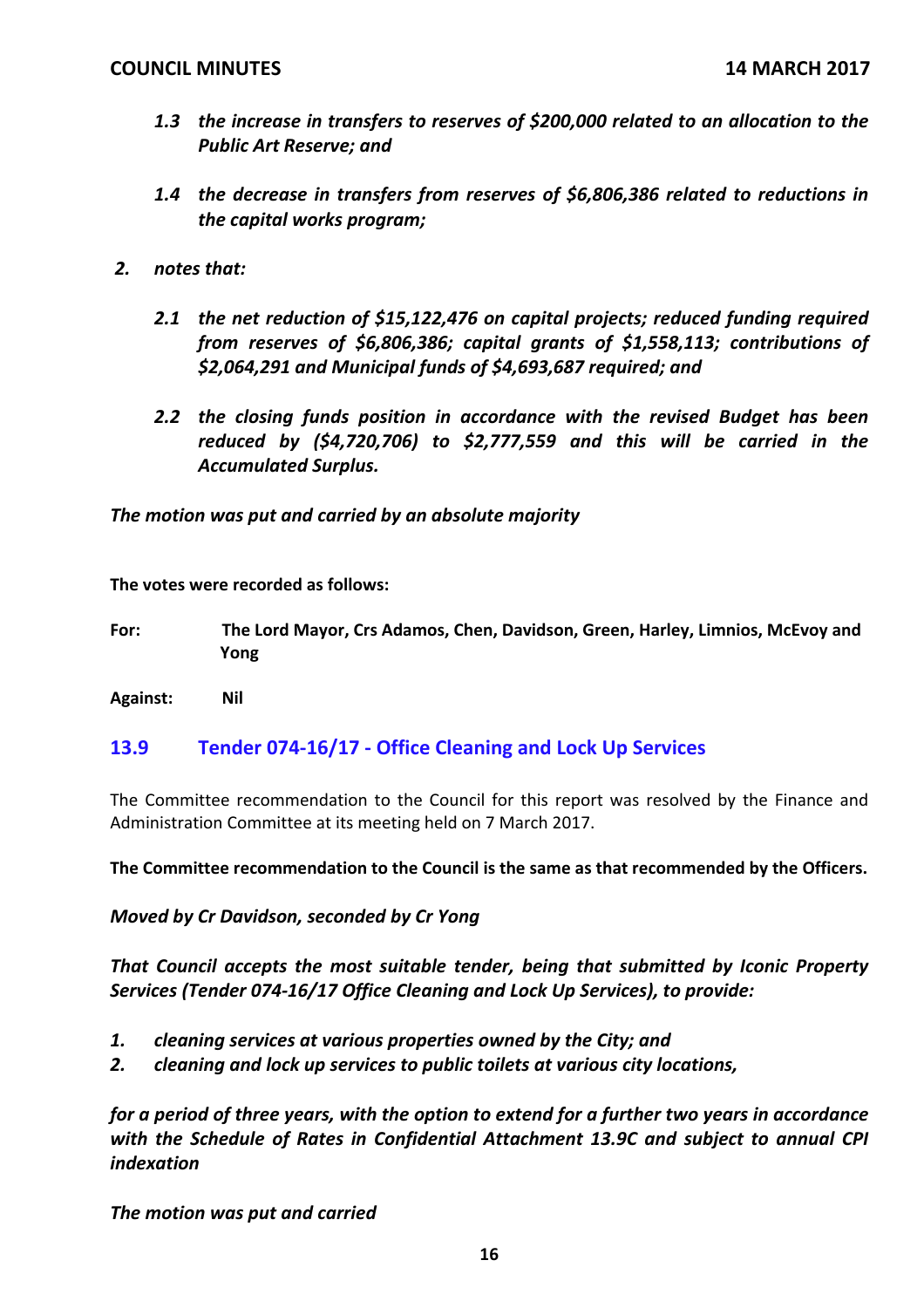- *1.3 the increase in transfers to reserves of \$200,000 related to an allocation to the Public Art Reserve; and*
- *1.4 the decrease in transfers from reserves of \$6,806,386 related to reductions in the capital works program;*
- *2. notes that:*
	- *2.1 the net reduction of \$15,122,476 on capital projects; reduced funding required from reserves of \$6,806,386; capital grants of \$1,558,113; contributions of \$2,064,291 and Municipal funds of \$4,693,687 required; and*
	- *2.2 the closing funds position in accordance with the revised Budget has been reduced by (\$4,720,706) to \$2,777,559 and this will be carried in the Accumulated Surplus.*

*The motion was put and carried by an absolute majority*

**The votes were recorded as follows:**

**For: The Lord Mayor, Crs Adamos, Chen, Davidson, Green, Harley, Limnios, McEvoy and Yong**

**Against: Nil**

## **13.9 Tender 074‐16/17 ‐ Office Cleaning and Lock Up Services**

The Committee recommendation to the Council for this report was resolved by the Finance and Administration Committee at its meeting held on 7 March 2017.

**The Committee recommendation to the Council is the same as that recommended by the Officers.**

*Moved by Cr Davidson, seconded by Cr Yong*

*That Council accepts the most suitable tender, being that submitted by Iconic Property Services (Tender 074‐16/17 Office Cleaning and Lock Up Services), to provide:*

- *1. cleaning services at various properties owned by the City; and*
- *2. cleaning and lock up services to public toilets at various city locations,*

*for a period of three years, with the option to extend for a further two years in accordance with the Schedule of Rates in Confidential Attachment 13.9C and subject to annual CPI indexation*

*The motion was put and carried*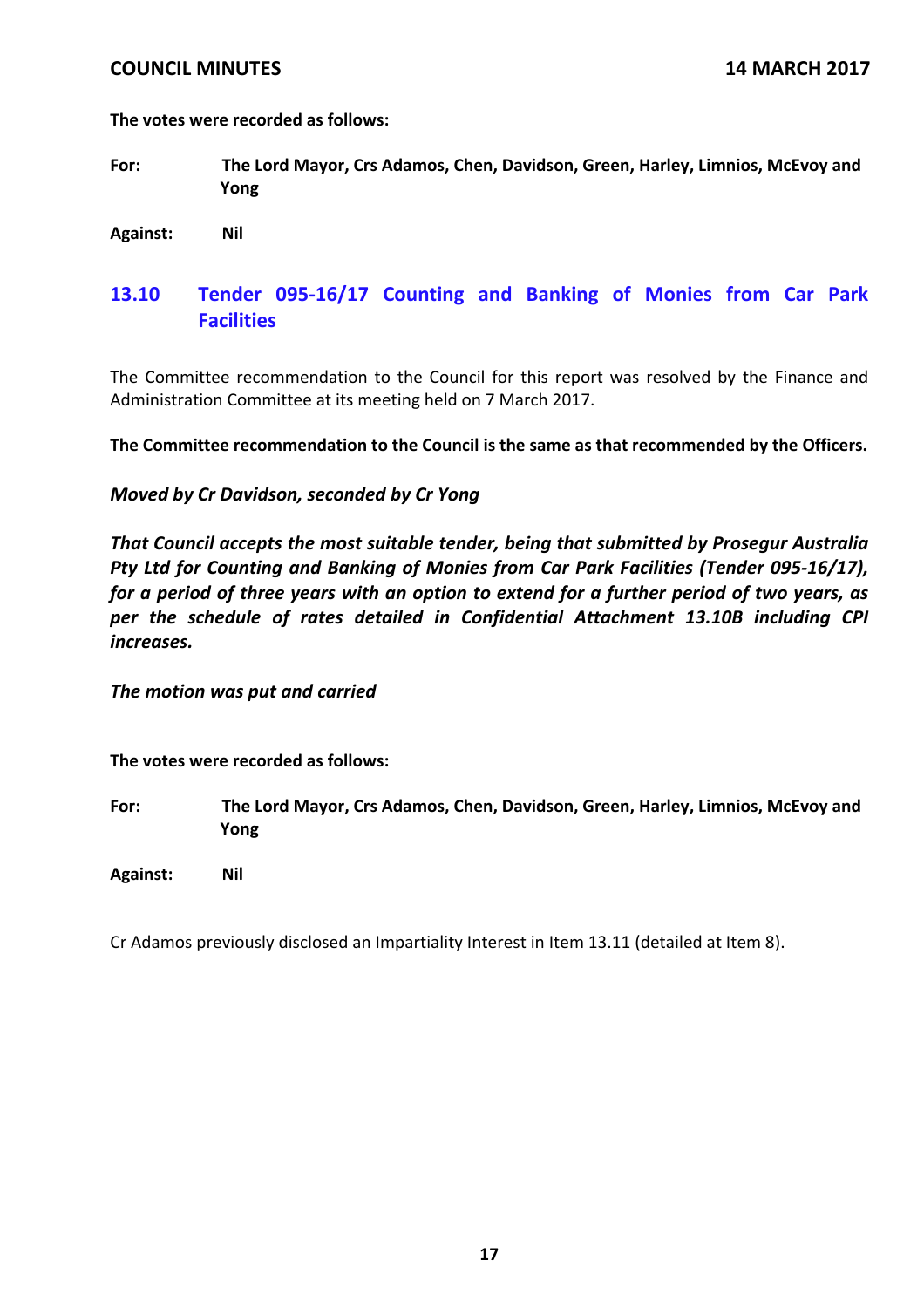**The votes were recorded as follows:**

**For: The Lord Mayor, Crs Adamos, Chen, Davidson, Green, Harley, Limnios, McEvoy and Yong**

**Against: Nil**

## **13.10 Tender 095‐16/17 Counting and Banking of Monies from Car Park Facilities**

The Committee recommendation to the Council for this report was resolved by the Finance and Administration Committee at its meeting held on 7 March 2017.

**The Committee recommendation to the Council is the same as that recommended by the Officers.**

### *Moved by Cr Davidson, seconded by Cr Yong*

*That Council accepts the most suitable tender, being that submitted by Prosegur Australia Pty Ltd for Counting and Banking of Monies from Car Park Facilities (Tender 095‐16/17), for a period of three years with an option to extend for a further period of two years, as per the schedule of rates detailed in Confidential Attachment 13.10B including CPI increases.*

*The motion was put and carried* 

**The votes were recorded as follows:**

**For: The Lord Mayor, Crs Adamos, Chen, Davidson, Green, Harley, Limnios, McEvoy and Yong**

**Against: Nil**

Cr Adamos previously disclosed an Impartiality Interest in Item 13.11 (detailed at Item 8).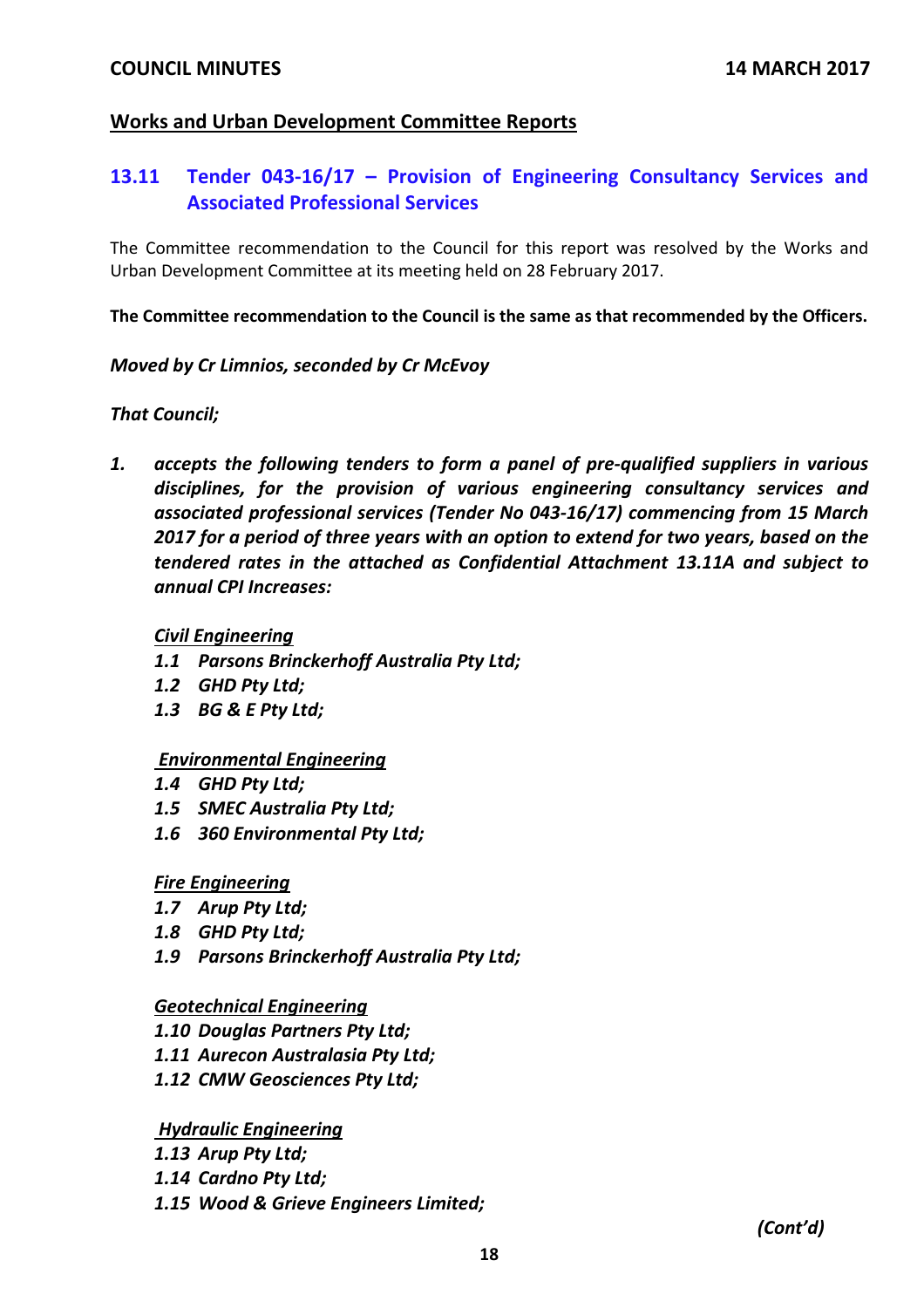## **Works and Urban Development Committee Reports**

## **13.11 Tender 043‐16/17 – Provision of Engineering Consultancy Services and Associated Professional Services**

The Committee recommendation to the Council for this report was resolved by the Works and Urban Development Committee at its meeting held on 28 February 2017.

**The Committee recommendation to the Council is the same as that recommended by the Officers.**

### *Moved by Cr Limnios, seconded by Cr McEvoy*

### *That Council;*

*1. accepts the following tenders to form a panel of pre‐qualified suppliers in various disciplines, for the provision of various engineering consultancy services and associated professional services (Tender No 043‐16/17) commencing from 15 March 2017 for a period of three years with an option to extend for two years, based on the tendered rates in the attached as Confidential Attachment 13.11A and subject to annual CPI Increases:*

### *Civil Engineering*

- *1.1 Parsons Brinckerhoff Australia Pty Ltd;*
- *1.2 GHD Pty Ltd;*
- *1.3 BG & E Pty Ltd;*

### *Environmental Engineering*

- *1.4 GHD Pty Ltd;*
- *1.5 SMEC Australia Pty Ltd;*
- *1.6 360 Environmental Pty Ltd;*

### *Fire Engineering*

- *1.7 Arup Pty Ltd;*
- *1.8 GHD Pty Ltd;*
- *1.9 Parsons Brinckerhoff Australia Pty Ltd;*

### *Geotechnical Engineering*

- *1.10 Douglas Partners Pty Ltd;*
- *1.11 Aurecon Australasia Pty Ltd;*
- *1.12 CMW Geosciences Pty Ltd;*

*Hydraulic Engineering*

- *1.13 Arup Pty Ltd;*
- *1.14 Cardno Pty Ltd;*
- *1.15 Wood & Grieve Engineers Limited;*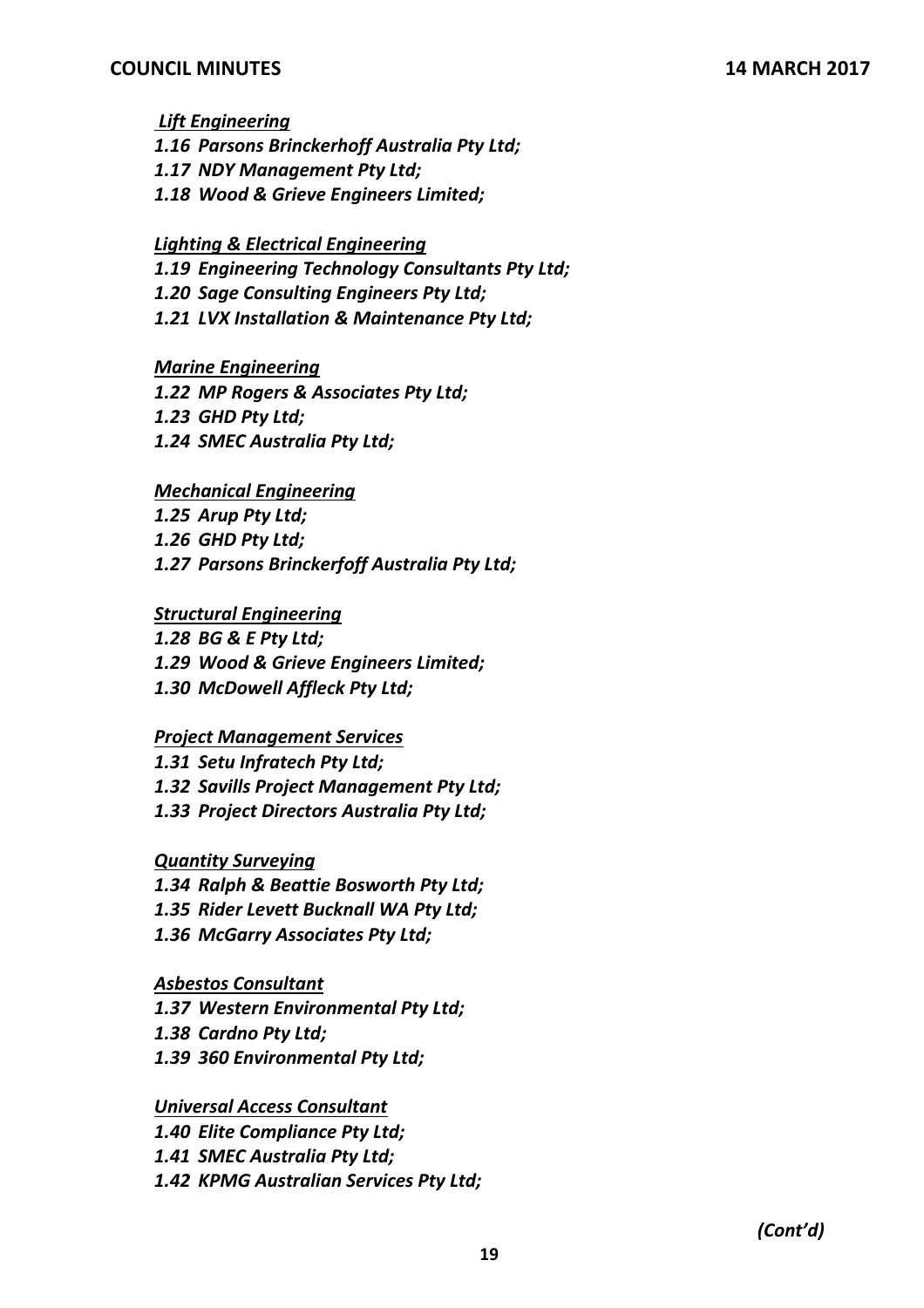*Lift Engineering*

- *1.16 Parsons Brinckerhoff Australia Pty Ltd;*
- *1.17 NDY Management Pty Ltd;*
- *1.18 Wood & Grieve Engineers Limited;*

## *Lighting & Electrical Engineering*

*1.19 Engineering Technology Consultants Pty Ltd;*

- *1.20 Sage Consulting Engineers Pty Ltd;*
- *1.21 LVX Installation & Maintenance Pty Ltd;*

## *Marine Engineering*

*1.22 MP Rogers & Associates Pty Ltd;*

- *1.23 GHD Pty Ltd;*
- *1.24 SMEC Australia Pty Ltd;*

## *Mechanical Engineering*

- *1.25 Arup Pty Ltd;*
- *1.26 GHD Pty Ltd;*
- *1.27 Parsons Brinckerfoff Australia Pty Ltd;*

## *Structural Engineering*

*1.28 BG & E Pty Ltd; 1.29 Wood & Grieve Engineers Limited; 1.30 McDowell Affleck Pty Ltd;*

## *Project Management Services*

*1.31 Setu Infratech Pty Ltd; 1.32 Savills Project Management Pty Ltd; 1.33 Project Directors Australia Pty Ltd;*

*Quantity Surveying*

- *1.34 Ralph & Beattie Bosworth Pty Ltd;*
- *1.35 Rider Levett Bucknall WA Pty Ltd;*
- *1.36 McGarry Associates Pty Ltd;*

## *Asbestos Consultant*

*1.37 Western Environmental Pty Ltd;*

- *1.38 Cardno Pty Ltd;*
- *1.39 360 Environmental Pty Ltd;*

*Universal Access Consultant*

*1.40 Elite Compliance Pty Ltd;*

*1.41 SMEC Australia Pty Ltd;*

*1.42 KPMG Australian Services Pty Ltd;*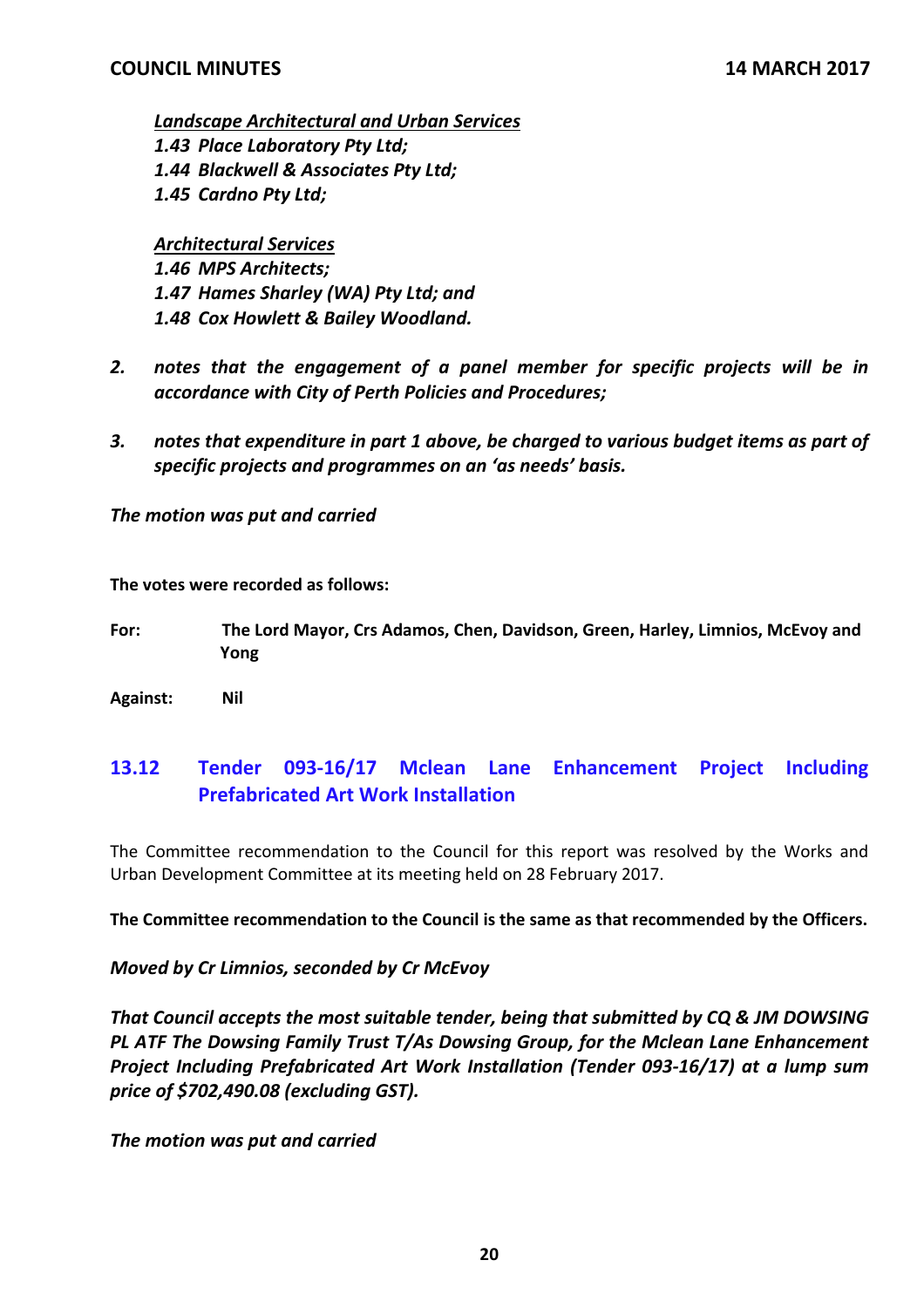*Landscape Architectural and Urban Services 1.43 Place Laboratory Pty Ltd; 1.44 Blackwell & Associates Pty Ltd; 1.45 Cardno Pty Ltd;*

*Architectural Services*

*1.46 MPS Architects; 1.47 Hames Sharley (WA) Pty Ltd; and 1.48 Cox Howlett & Bailey Woodland.*

- *2. notes that the engagement of a panel member for specific projects will be in accordance with City of Perth Policies and Procedures;*
- *3. notes that expenditure in part 1 above, be charged to various budget items as part of specific projects and programmes on an 'as needs' basis.*

*The motion was put and carried*

**The votes were recorded as follows:**

- **For: The Lord Mayor, Crs Adamos, Chen, Davidson, Green, Harley, Limnios, McEvoy and Yong**
- **Against: Nil**

# **13.12 Tender 093‐16/17 Mclean Lane Enhancement Project Including Prefabricated Art Work Installation**

The Committee recommendation to the Council for this report was resolved by the Works and Urban Development Committee at its meeting held on 28 February 2017.

**The Committee recommendation to the Council is the same as that recommended by the Officers.**

*Moved by Cr Limnios, seconded by Cr McEvoy*

*That Council accepts the most suitable tender, being that submitted by CQ & JM DOWSING PL ATF The Dowsing Family Trust T/As Dowsing Group, for the Mclean Lane Enhancement Project Including Prefabricated Art Work Installation (Tender 093‐16/17) at a lump sum price of \$702,490.08 (excluding GST).*

*The motion was put and carried*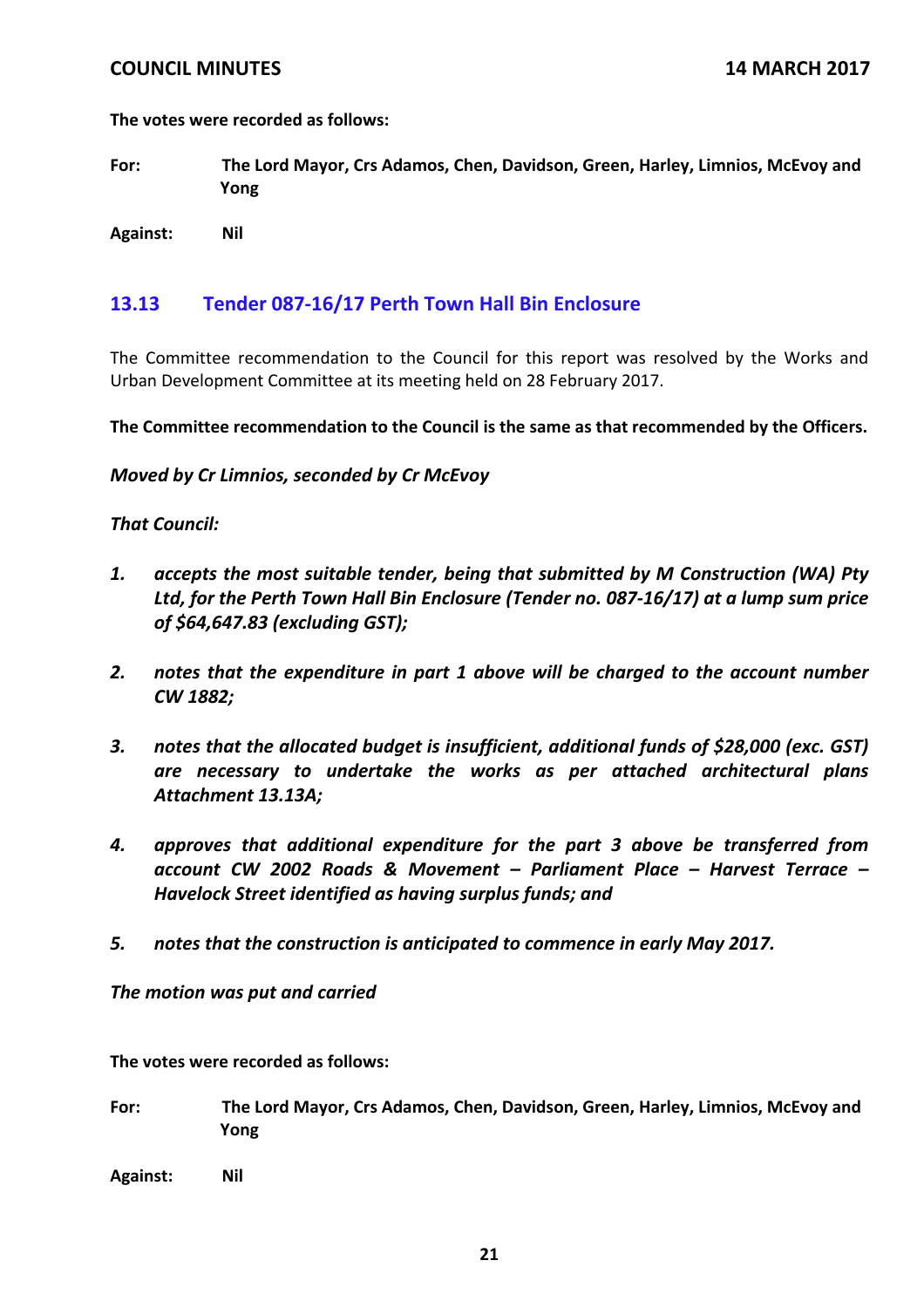**The votes were recorded as follows:**

**For: The Lord Mayor, Crs Adamos, Chen, Davidson, Green, Harley, Limnios, McEvoy and Yong**

**Against: Nil**

## **13.13 Tender 087‐16/17 Perth Town Hall Bin Enclosure**

The Committee recommendation to the Council for this report was resolved by the Works and Urban Development Committee at its meeting held on 28 February 2017.

**The Committee recommendation to the Council is the same as that recommended by the Officers.**

*Moved by Cr Limnios, seconded by Cr McEvoy*

### *That Council:*

- *1. accepts the most suitable tender, being that submitted by M Construction (WA) Pty Ltd, for the Perth Town Hall Bin Enclosure (Tender no. 087‐16/17) at a lump sum price of \$64,647.83 (excluding GST);*
- *2. notes that the expenditure in part 1 above will be charged to the account number CW 1882;*
- *3. notes that the allocated budget is insufficient, additional funds of \$28,000 (exc. GST) are necessary to undertake the works as per attached architectural plans Attachment 13.13A;*
- *4. approves that additional expenditure for the part 3 above be transferred from account CW 2002 Roads & Movement – Parliament Place – Harvest Terrace – Havelock Street identified as having surplus funds; and*
- *5. notes that the construction is anticipated to commence in early May 2017.*

*The motion was put and carried* 

**The votes were recorded as follows:**

- **For: The Lord Mayor, Crs Adamos, Chen, Davidson, Green, Harley, Limnios, McEvoy and Yong**
- **Against: Nil**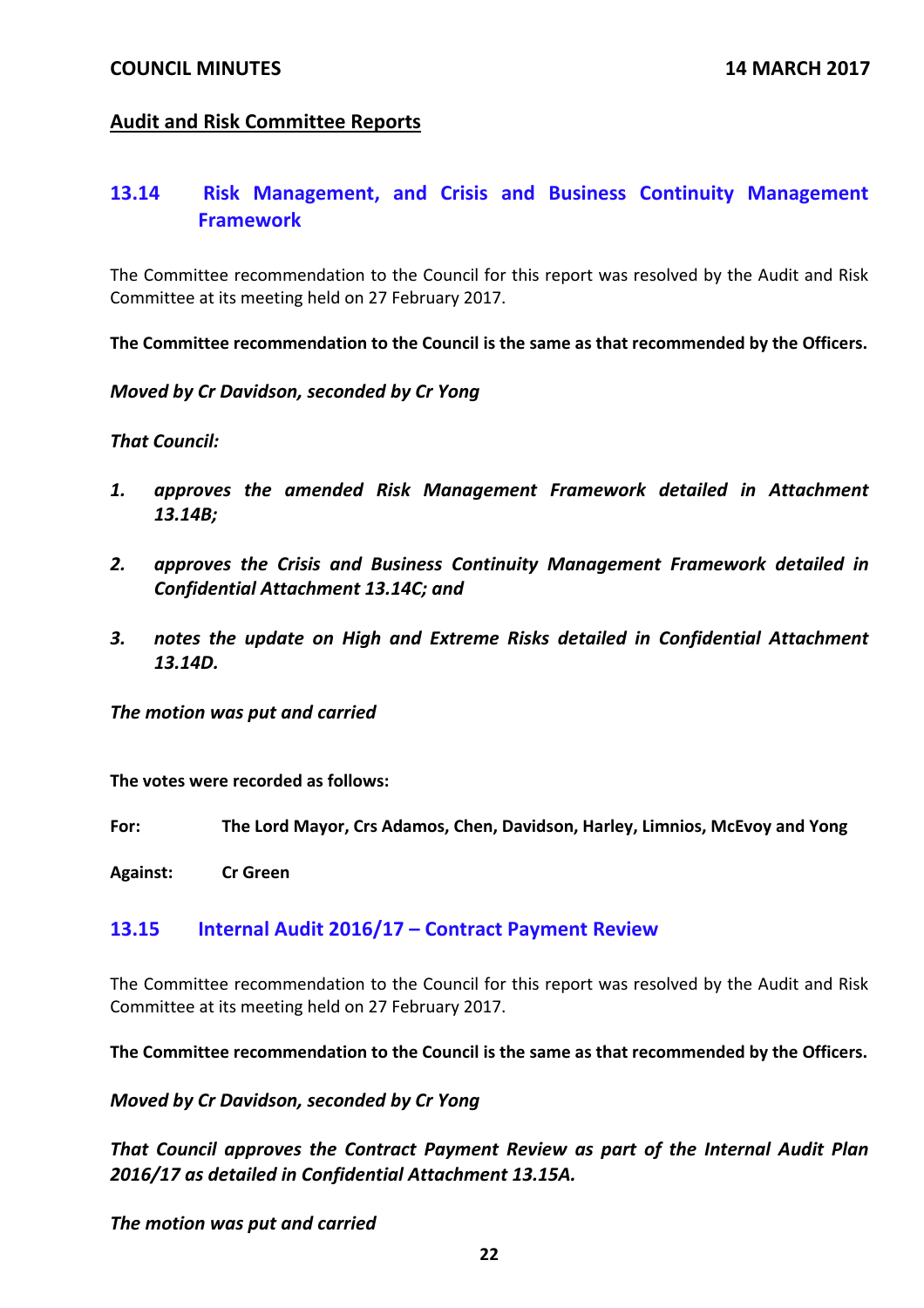## **Audit and Risk Committee Reports**

## **13.14 Risk Management, and Crisis and Business Continuity Management Framework**

The Committee recommendation to the Council for this report was resolved by the Audit and Risk Committee at its meeting held on 27 February 2017.

**The Committee recommendation to the Council is the same as that recommended by the Officers.**

*Moved by Cr Davidson, seconded by Cr Yong*

*That Council:*

- *1. approves the amended Risk Management Framework detailed in Attachment 13.14B;*
- *2. approves the Crisis and Business Continuity Management Framework detailed in Confidential Attachment 13.14C; and*
- *3. notes the update on High and Extreme Risks detailed in Confidential Attachment 13.14D.*

*The motion was put and carried*

**The votes were recorded as follows:**

**For: The Lord Mayor, Crs Adamos, Chen, Davidson, Harley, Limnios, McEvoy and Yong**

**Against: Cr Green**

### **13.15 Internal Audit 2016/17 – Contract Payment Review**

The Committee recommendation to the Council for this report was resolved by the Audit and Risk Committee at its meeting held on 27 February 2017.

**The Committee recommendation to the Council is the same as that recommended by the Officers.**

*Moved by Cr Davidson, seconded by Cr Yong*

*That Council approves the Contract Payment Review as part of the Internal Audit Plan 2016/17 as detailed in Confidential Attachment 13.15A.* 

*The motion was put and carried*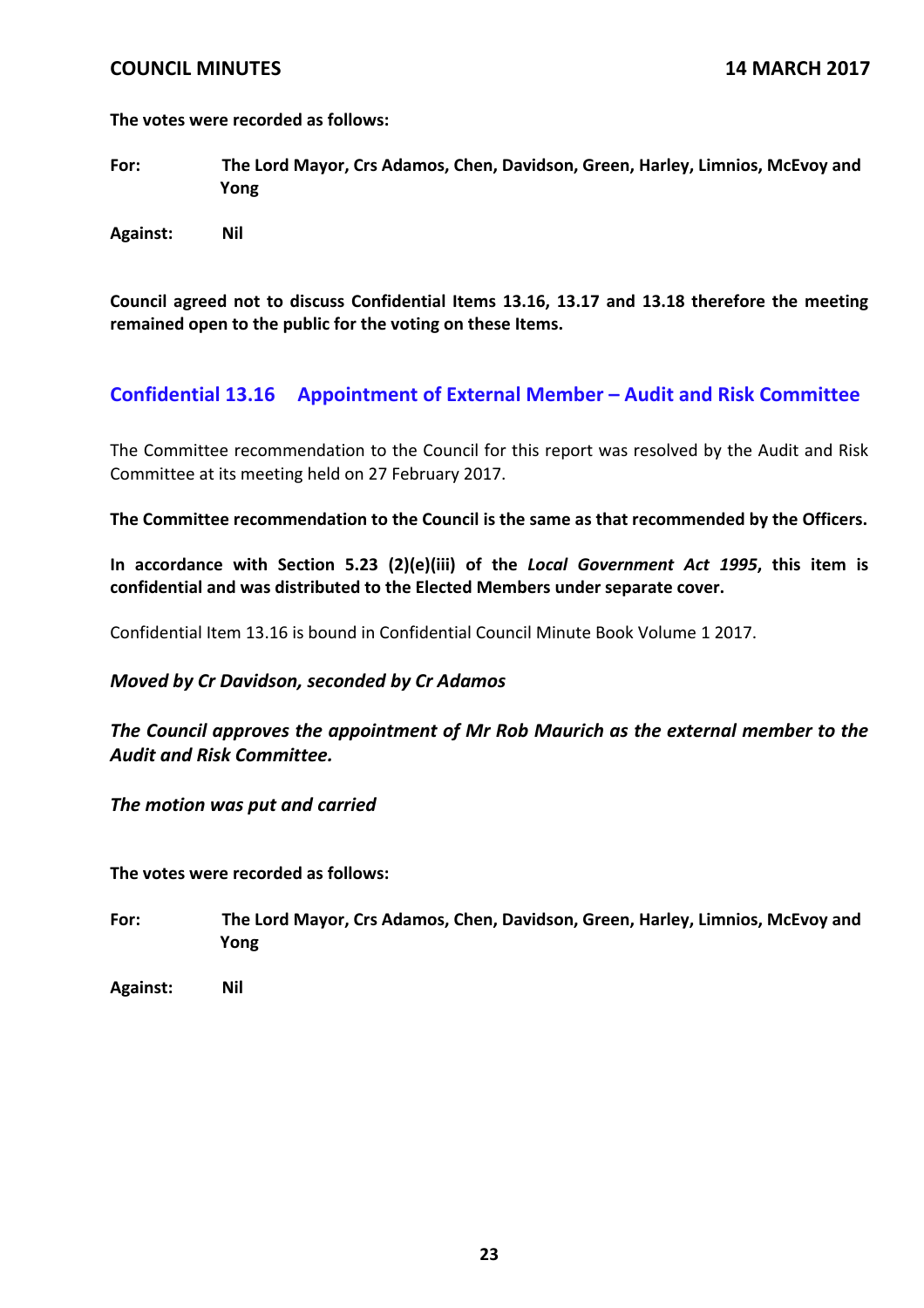**The votes were recorded as follows:**

**For: The Lord Mayor, Crs Adamos, Chen, Davidson, Green, Harley, Limnios, McEvoy and Yong**

**Against: Nil**

**Council agreed not to discuss Confidential Items 13.16, 13.17 and 13.18 therefore the meeting remained open to the public for the voting on these Items.**

## **Confidential 13.16 Appointment of External Member – Audit and Risk Committee**

The Committee recommendation to the Council for this report was resolved by the Audit and Risk Committee at its meeting held on 27 February 2017.

**The Committee recommendation to the Council is the same as that recommended by the Officers.**

**In accordance with Section 5.23 (2)(e)(iii) of the** *Local Government Act 1995***, this item is confidential and was distributed to the Elected Members under separate cover.**

Confidential Item 13.16 is bound in Confidential Council Minute Book Volume 1 2017.

## *Moved by Cr Davidson, seconded by Cr Adamos*

*The Council approves the appointment of Mr Rob Maurich as the external member to the Audit and Risk Committee.* 

*The motion was put and carried*

**The votes were recorded as follows:**

- **For: The Lord Mayor, Crs Adamos, Chen, Davidson, Green, Harley, Limnios, McEvoy and Yong**
- **Against: Nil**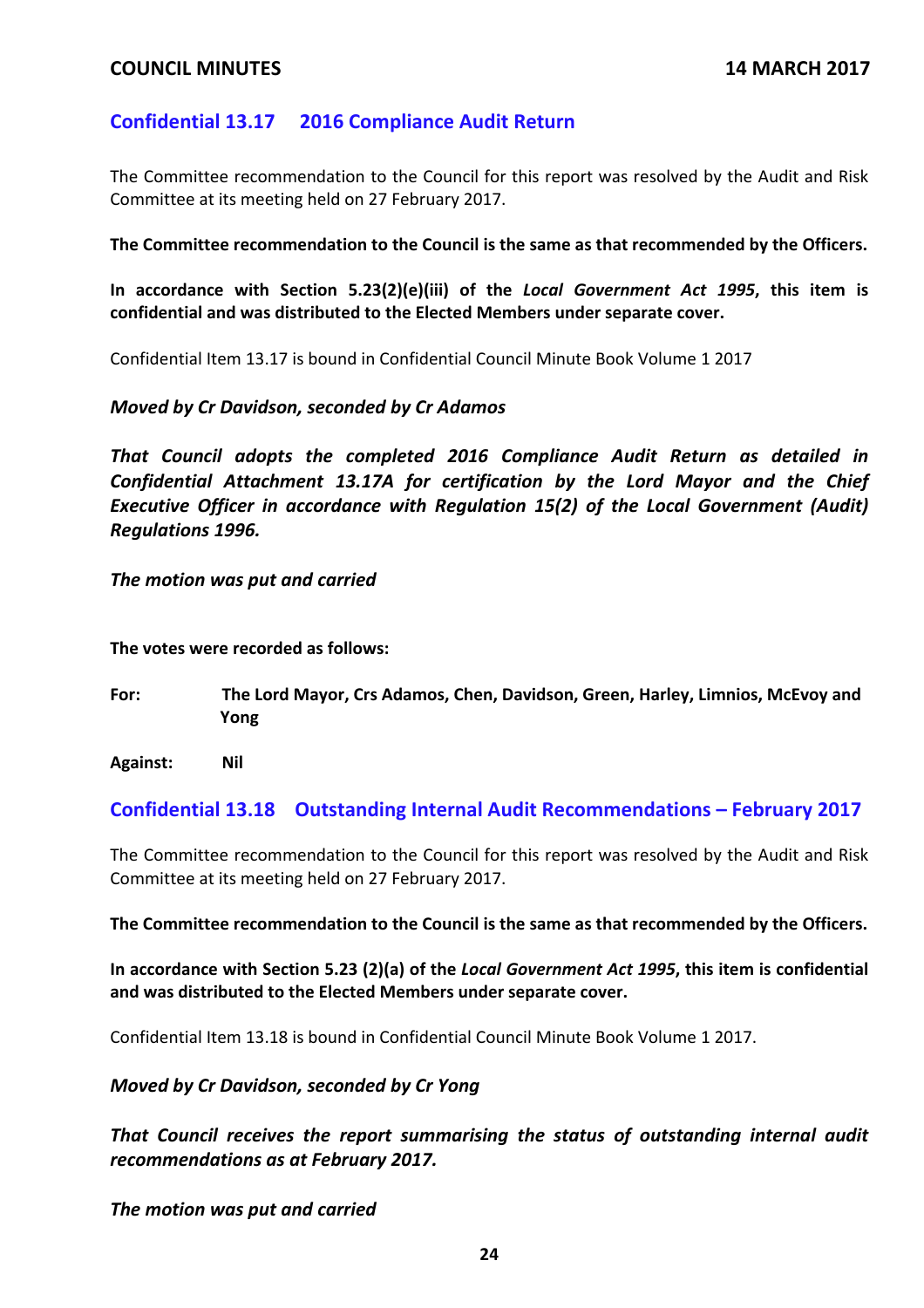## **Confidential 13.17 2016 Compliance Audit Return**

The Committee recommendation to the Council for this report was resolved by the Audit and Risk Committee at its meeting held on 27 February 2017.

**The Committee recommendation to the Council is the same as that recommended by the Officers.**

**In accordance with Section 5.23(2)(e)(iii) of the** *Local Government Act 1995***, this item is confidential and was distributed to the Elected Members under separate cover.**

Confidential Item 13.17 is bound in Confidential Council Minute Book Volume 1 2017

## *Moved by Cr Davidson, seconded by Cr Adamos*

*That Council adopts the completed 2016 Compliance Audit Return as detailed in Confidential Attachment 13.17A for certification by the Lord Mayor and the Chief Executive Officer in accordance with Regulation 15(2) of the Local Government (Audit) Regulations 1996.*

*The motion was put and carried* 

**The votes were recorded as follows:**

**For: The Lord Mayor, Crs Adamos, Chen, Davidson, Green, Harley, Limnios, McEvoy and Yong**

**Against: Nil**

## **Confidential 13.18 Outstanding Internal Audit Recommendations – February 2017**

The Committee recommendation to the Council for this report was resolved by the Audit and Risk Committee at its meeting held on 27 February 2017.

**The Committee recommendation to the Council is the same as that recommended by the Officers.**

**In accordance with Section 5.23 (2)(a) of the** *Local Government Act 1995***, this item is confidential and was distributed to the Elected Members under separate cover.**

Confidential Item 13.18 is bound in Confidential Council Minute Book Volume 1 2017.

*Moved by Cr Davidson, seconded by Cr Yong*

*That Council receives the report summarising the status of outstanding internal audit recommendations as at February 2017.*

*The motion was put and carried*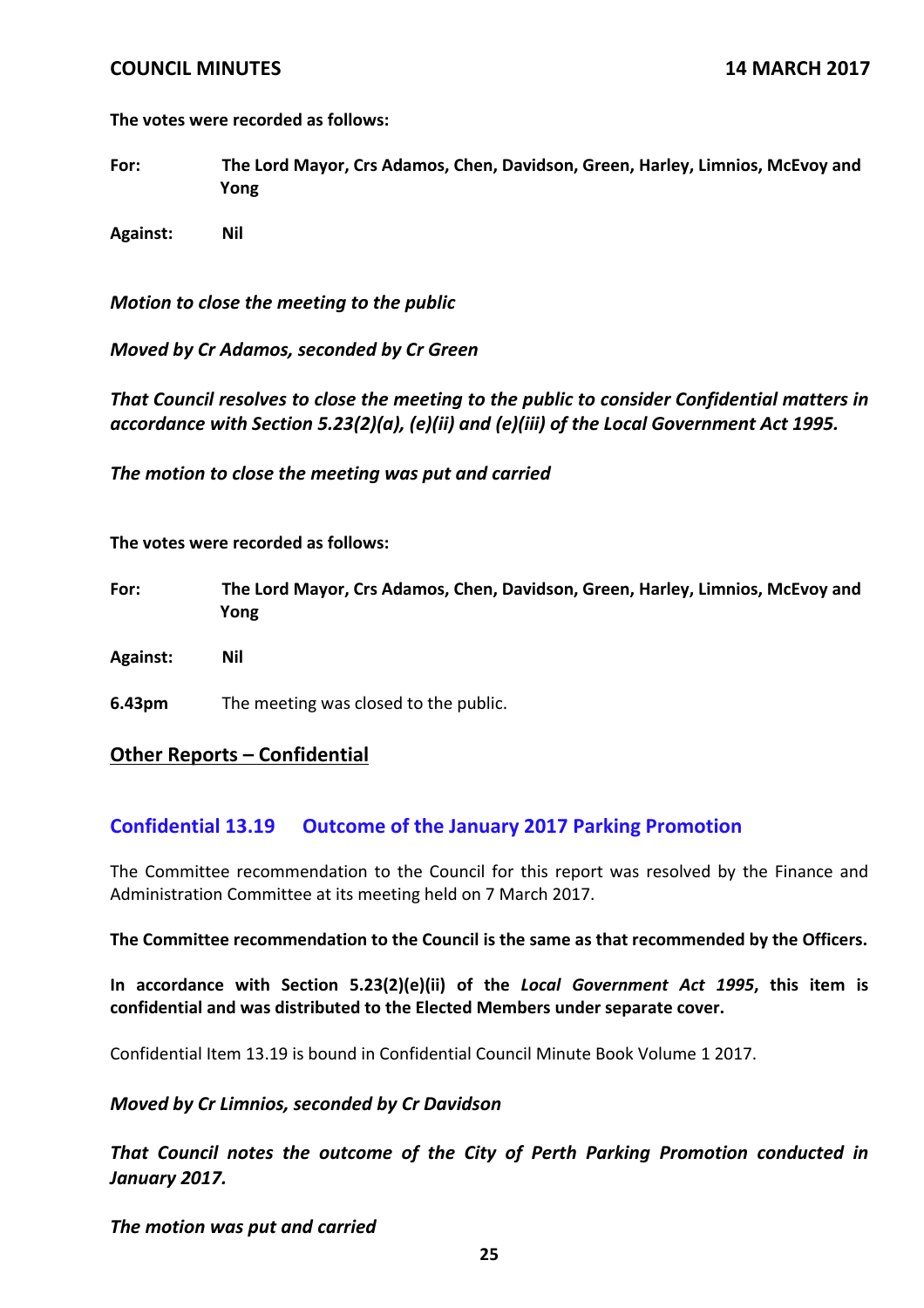**The votes were recorded as follows:**

**For: The Lord Mayor, Crs Adamos, Chen, Davidson, Green, Harley, Limnios, McEvoy and Yong**

**Against: Nil**

*Motion to close the meeting to the public*

*Moved by Cr Adamos, seconded by Cr Green*

*That Council resolves to close the meeting to the public to consider Confidential matters in accordance with Section 5.23(2)(a), (e)(ii) and (e)(iii) of the Local Government Act 1995.*

*The motion to close the meeting was put and carried*

**The votes were recorded as follows:**

- **For: The Lord Mayor, Crs Adamos, Chen, Davidson, Green, Harley, Limnios, McEvoy and Yong**
- **Against: Nil**
- **6.43pm** The meeting was closed to the public.

### **Other Reports – Confidential**

## **Confidential 13.19 Outcome of the January 2017 Parking Promotion**

The Committee recommendation to the Council for this report was resolved by the Finance and Administration Committee at its meeting held on 7 March 2017.

#### **The Committee recommendation to the Council is the same as that recommended by the Officers.**

**In accordance with Section 5.23(2)(e)(ii) of the** *Local Government Act 1995***, this item is confidential and was distributed to the Elected Members under separate cover.**

Confidential Item 13.19 is bound in Confidential Council Minute Book Volume 1 2017.

### *Moved by Cr Limnios, seconded by Cr Davidson*

*That Council notes the outcome of the City of Perth Parking Promotion conducted in January 2017.*

*The motion was put and carried*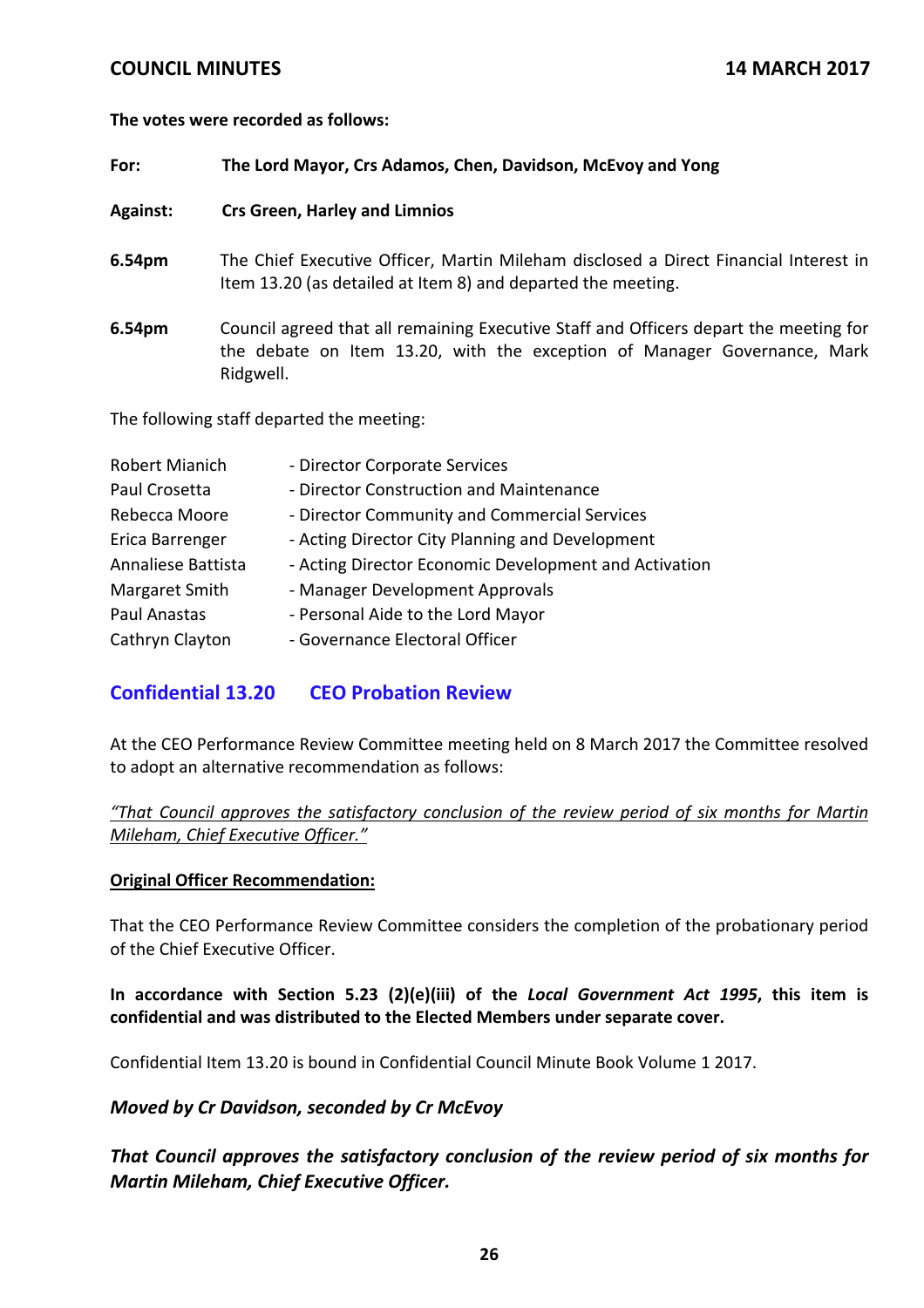### **The votes were recorded as follows:**

### **For: The Lord Mayor, Crs Adamos, Chen, Davidson, McEvoy and Yong**

**Against: Crs Green, Harley and Limnios**

- **6.54pm** The Chief Executive Officer, Martin Mileham disclosed a Direct Financial Interest in Item 13.20 (as detailed at Item 8) and departed the meeting.
- **6.54pm** Council agreed that all remaining Executive Staff and Officers depart the meeting for the debate on Item 13.20, with the exception of Manager Governance, Mark Ridgwell.

The following staff departed the meeting:

| Robert Mianich     | - Director Corporate Services                         |
|--------------------|-------------------------------------------------------|
| Paul Crosetta      | - Director Construction and Maintenance               |
| Rebecca Moore      | - Director Community and Commercial Services          |
| Erica Barrenger    | - Acting Director City Planning and Development       |
| Annaliese Battista | - Acting Director Economic Development and Activation |
| Margaret Smith     | - Manager Development Approvals                       |
| Paul Anastas       | - Personal Aide to the Lord Mayor                     |
| Cathryn Clayton    | - Governance Electoral Officer                        |

## **Confidential 13.20 CEO Probation Review**

At the CEO Performance Review Committee meeting held on 8 March 2017 the Committee resolved to adopt an alternative recommendation as follows:

*"That Council approves the satisfactory conclusion of the review period of six months for Martin Mileham, Chief Executive Officer."*

### **Original Officer Recommendation:**

That the CEO Performance Review Committee considers the completion of the probationary period of the Chief Executive Officer.

**In accordance with Section 5.23 (2)(e)(iii) of the** *Local Government Act 1995***, this item is confidential and was distributed to the Elected Members under separate cover.**

Confidential Item 13.20 is bound in Confidential Council Minute Book Volume 1 2017.

## *Moved by Cr Davidson, seconded by Cr McEvoy*

*That Council approves the satisfactory conclusion of the review period of six months for Martin Mileham, Chief Executive Officer.*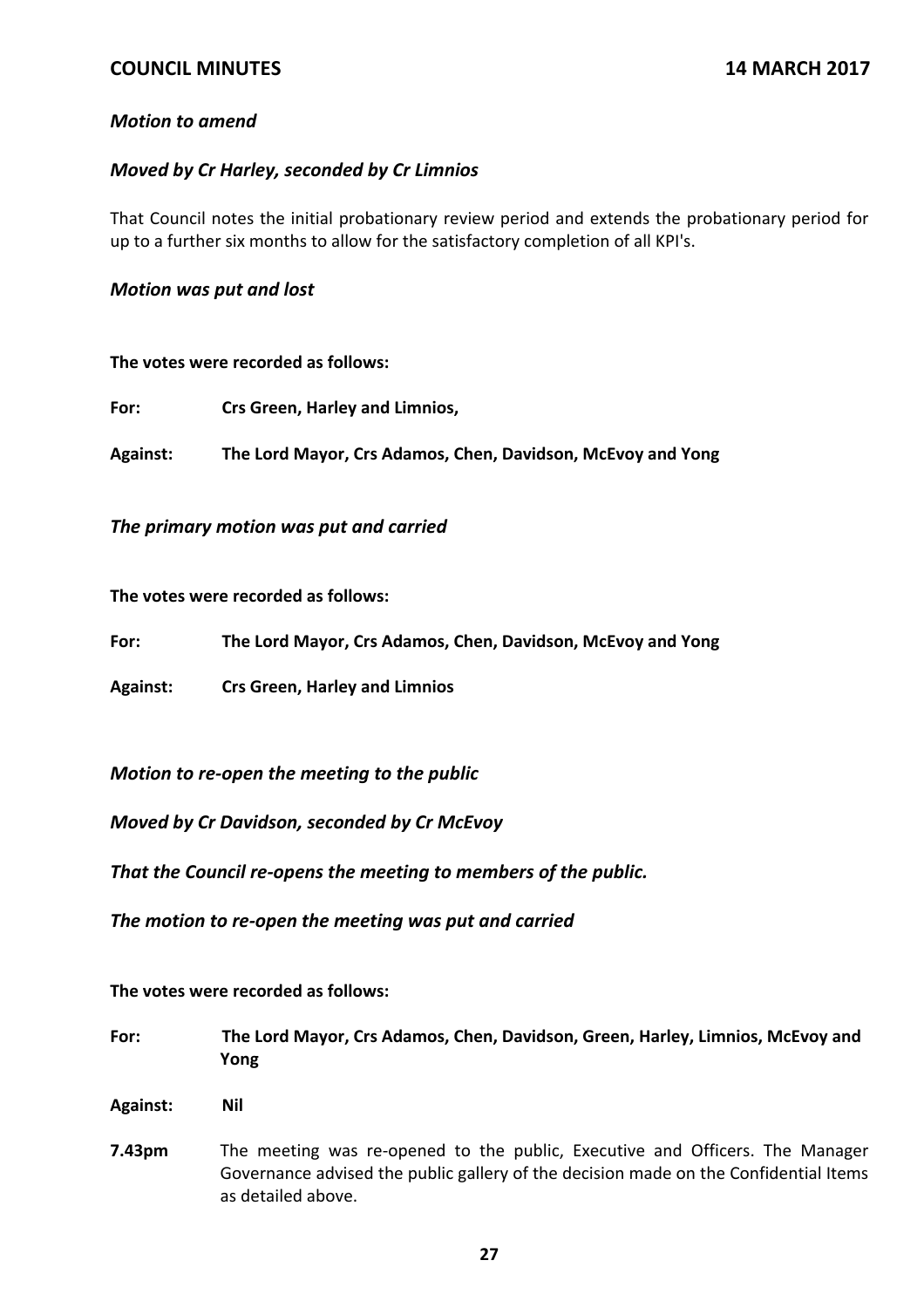## *Motion to amend*

### *Moved by Cr Harley, seconded by Cr Limnios*

That Council notes the initial probationary review period and extends the probationary period for up to a further six months to allow for the satisfactory completion of all KPI's.

#### *Motion was put and lost*

#### **The votes were recorded as follows:**

| For: | Crs Green, Harley and Limnios, |
|------|--------------------------------|
|------|--------------------------------|

**Against: The Lord Mayor, Crs Adamos, Chen, Davidson, McEvoy and Yong**

*The primary motion was put and carried* 

**The votes were recorded as follows:**

**For: The Lord Mayor, Crs Adamos, Chen, Davidson, McEvoy and Yong**

**Against: Crs Green, Harley and Limnios**

*Motion to re‐open the meeting to the public*

*Moved by Cr Davidson, seconded by Cr McEvoy*

*That the Council re‐opens the meeting to members of the public.*

*The motion to re‐open the meeting was put and carried*

**The votes were recorded as follows:**

- **For: The Lord Mayor, Crs Adamos, Chen, Davidson, Green, Harley, Limnios, McEvoy and Yong**
- **Against: Nil**
- **7.43pm** The meeting was re-opened to the public, Executive and Officers. The Manager Governance advised the public gallery of the decision made on the Confidential Items as detailed above.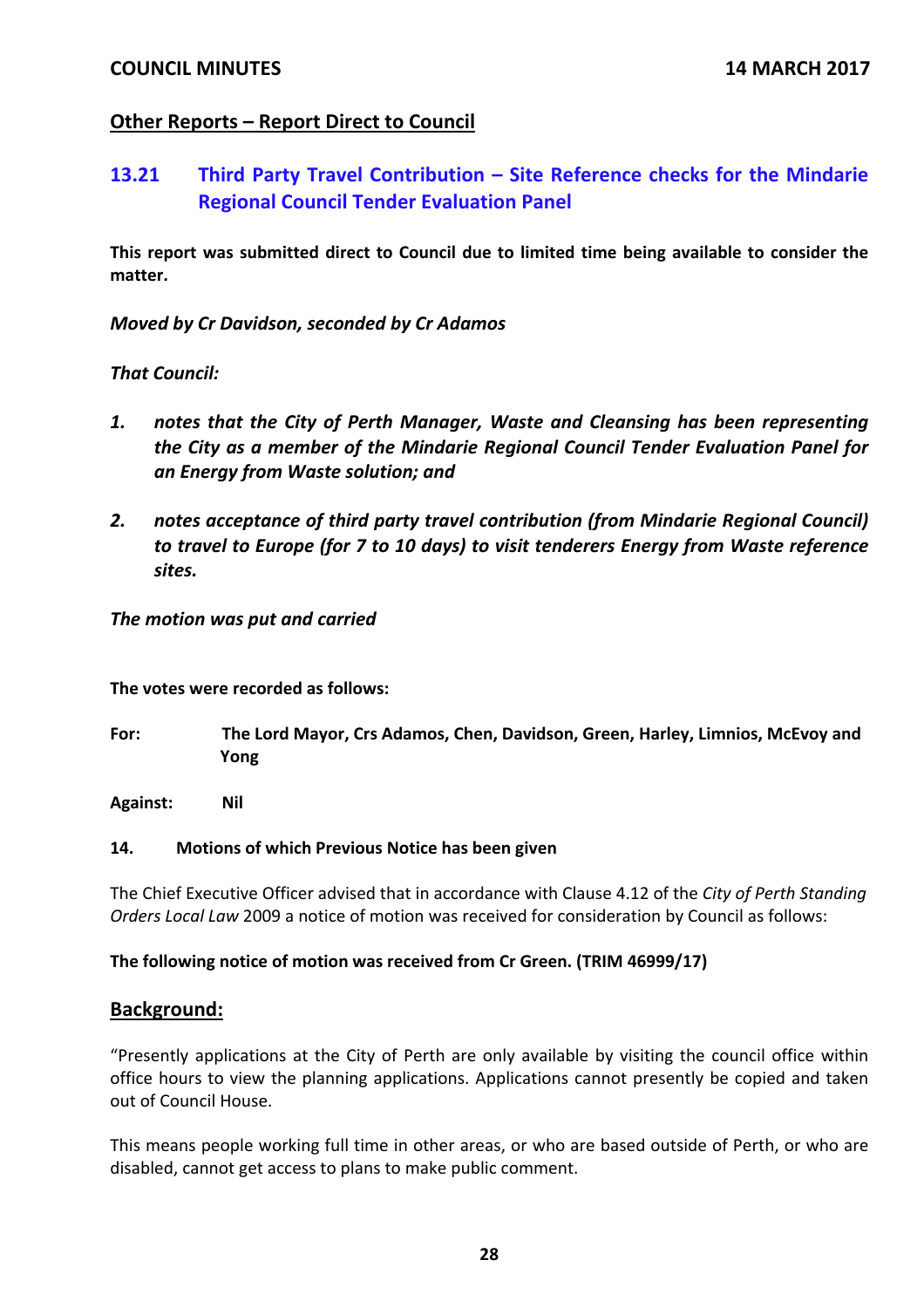## **Other Reports – Report Direct to Council**

# **13.21 Third Party Travel Contribution – Site Reference checks for the Mindarie Regional Council Tender Evaluation Panel**

**This report was submitted direct to Council due to limited time being available to consider the matter.**

*Moved by Cr Davidson, seconded by Cr Adamos*

## *That Council:*

- *1. notes that the City of Perth Manager, Waste and Cleansing has been representing the City as a member of the Mindarie Regional Council Tender Evaluation Panel for an Energy from Waste solution; and*
- *2. notes acceptance of third party travel contribution (from Mindarie Regional Council) to travel to Europe (for 7 to 10 days) to visit tenderers Energy from Waste reference sites.*

### *The motion was put and carried*

**The votes were recorded as follows:**

**For: The Lord Mayor, Crs Adamos, Chen, Davidson, Green, Harley, Limnios, McEvoy and Yong**

**Against: Nil**

### **14. Motions of which Previous Notice has been given**

The Chief Executive Officer advised that in accordance with Clause 4.12 of the *City of Perth Standing Orders Local Law* 2009 a notice of motion was received for consideration by Council as follows:

### **The following notice of motion was received from Cr Green. (TRIM 46999/17)**

## **Background:**

"Presently applications at the City of Perth are only available by visiting the council office within office hours to view the planning applications. Applications cannot presently be copied and taken out of Council House.

This means people working full time in other areas, or who are based outside of Perth, or who are disabled, cannot get access to plans to make public comment.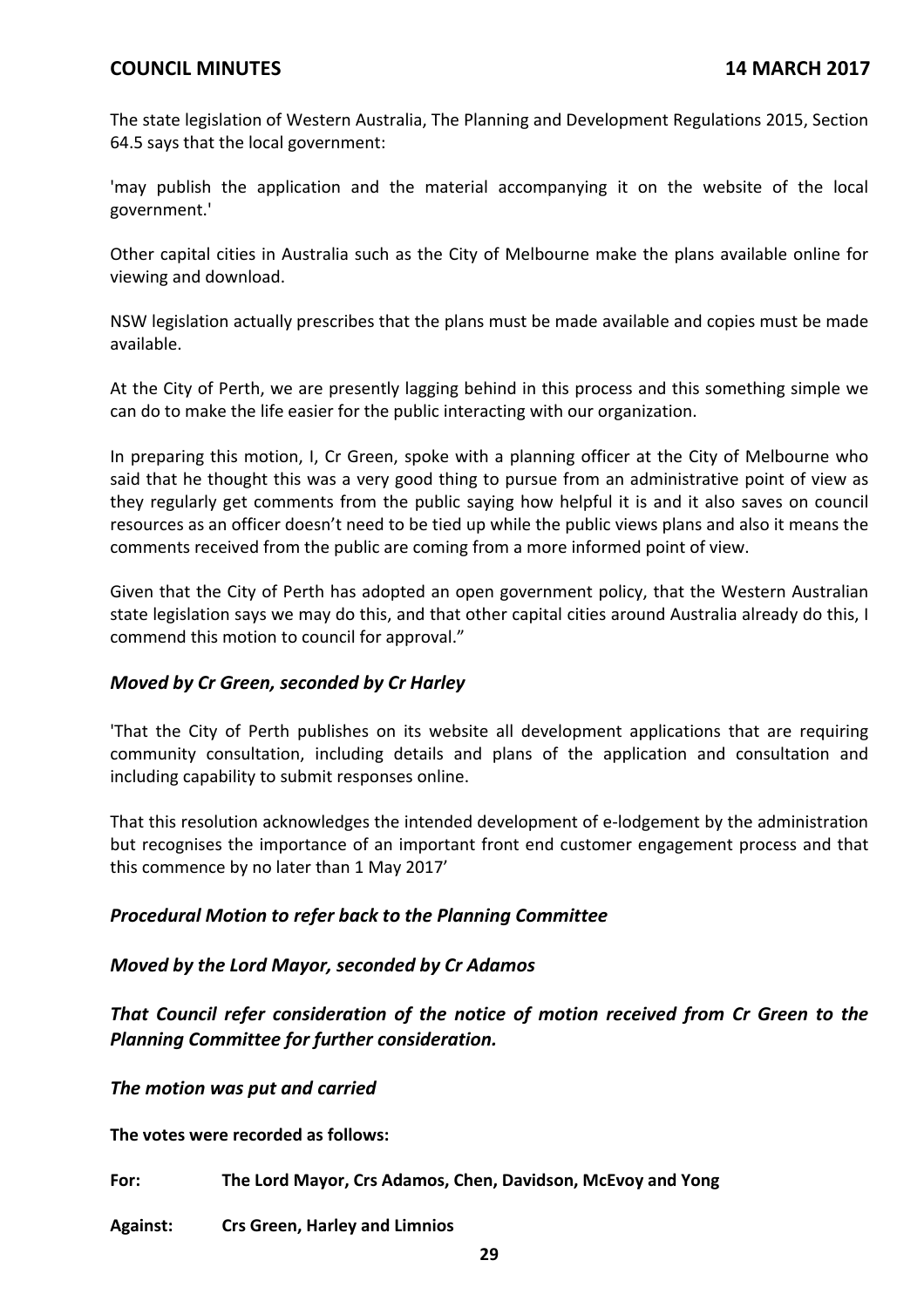The state legislation of Western Australia, The Planning and Development Regulations 2015, Section 64.5 says that the local government:

'may publish the application and the material accompanying it on the website of the local government.'

Other capital cities in Australia such as the City of Melbourne make the plans available online for viewing and download.

NSW legislation actually prescribes that the plans must be made available and copies must be made available.

At the City of Perth, we are presently lagging behind in this process and this something simple we can do to make the life easier for the public interacting with our organization.

In preparing this motion, I, Cr Green, spoke with a planning officer at the City of Melbourne who said that he thought this was a very good thing to pursue from an administrative point of view as they regularly get comments from the public saying how helpful it is and it also saves on council resources as an officer doesn't need to be tied up while the public views plans and also it means the comments received from the public are coming from a more informed point of view.

Given that the City of Perth has adopted an open government policy, that the Western Australian state legislation says we may do this, and that other capital cities around Australia already do this, I commend this motion to council for approval."

## *Moved by Cr Green, seconded by Cr Harley*

'That the City of Perth publishes on its website all development applications that are requiring community consultation, including details and plans of the application and consultation and including capability to submit responses online.

That this resolution acknowledges the intended development of e‐lodgement by the administration but recognises the importance of an important front end customer engagement process and that this commence by no later than 1 May 2017'

## *Procedural Motion to refer back to the Planning Committee*

### *Moved by the Lord Mayor, seconded by Cr Adamos*

*That Council refer consideration of the notice of motion received from Cr Green to the Planning Committee for further consideration.*

*The motion was put and carried*

**The votes were recorded as follows:**

**For: The Lord Mayor, Crs Adamos, Chen, Davidson, McEvoy and Yong**

**Against: Crs Green, Harley and Limnios**